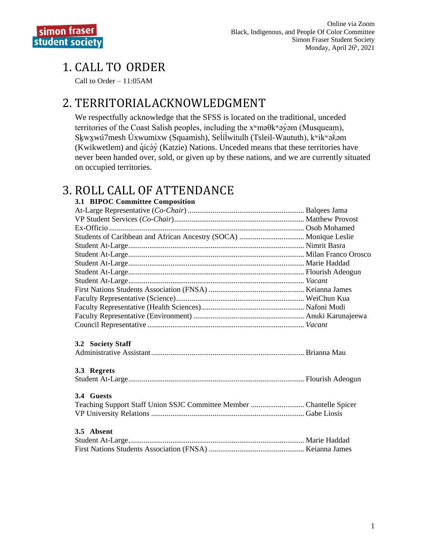## 1. CALL TO ORDER

Call to Order – 11:05AM

## 2. TERRITORIALACKNOWLEDGMENT

We respectfully acknowledge that the SFSS is located on the traditional, unceded territories of the Coast Salish peoples, including the  $x^w$ mə $\theta$ k $^w$ ə $\dot{\theta}$ əm (Musqueam), Skwxwú7mesh Úxwumixw (Squamish), Selílwitulh (Tsleil-Waututh), kwikwa $\lambda$ am ̓ (Kwikwetlem) and q̓icə̓y̓ (Katzie) Nations. Unceded means that these territories have never been handed over, sold, or given up by these nations, and we are currently situated on occupied territories.

## 3. ROLL CALL OF ATTENDANCE

**3.1 BIPOC Committee Composition** At-Large Representative (*Co-Chair*) .............................................................Balqees Jama VP Student Services (*Co-Chair*).................................................................... Matthew Provost Ex-Officio ...................................................................................................... Osob Mohamed Students of Caribbean and African Ancestry (SOCA) .................................. Monique Leslie Student At-Large............................................................................................ Nimrit Basra Student At-Large............................................................................................ Milan Franco Orosco Student At-Large............................................................................................ Marie Haddad Student At-Large............................................................................................ Flourish Adeogun Student At-Large............................................................................................ *Vacant* First Nations Students Association (FNSA) .................................................. Keianna James Faculty Representative (Science)................................................................... WeiChun Kua Faculty Representative (Health Sciences)...................................................... Nafoni Modi Faculty Representative (Environment) .......................................................... Anuki Karunajeewa Council Representative .................................................................................. *Vacant* **3.2 Society Staff**  Administrative Assistant................................................................................Brianna Mau **3.3 Regrets** Student At-Large............................................................................................ Flourish Adeogun **3.4 Guests** Teaching Support Staff Union SSJC Committee Member ............................Chantelle Spicer VP University Relations ................................................................................ Gabe Liosis **3.5 Absent** Student At-Large............................................................................................ Marie Haddad First Nations Students Association (FNSA) .................................................. Keianna James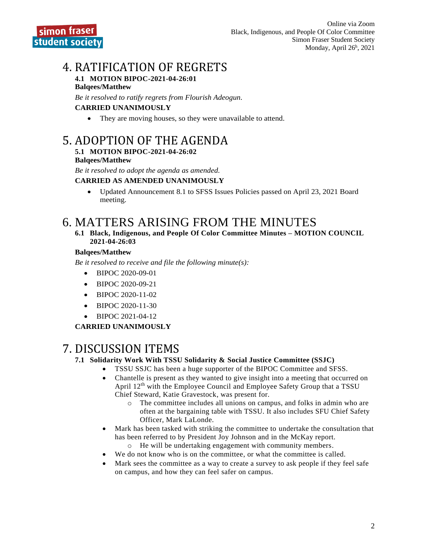## 4. RATIFICATION OF REGRETS

#### **4.1 MOTION BIPOC-2021-04-26:01 Balqees/Matthew**

*Be it resolved to ratify regrets from Flourish Adeogun.*

#### **CARRIED UNANIMOUSLY**

• They are moving houses, so they were unavailable to attend.

## 5. ADOPTION OF THE AGENDA

#### **5.1 MOTION BIPOC-2021-04-26:02**

#### **Balqees/Matthew**

*Be it resolved to adopt the agenda as amended.*

#### **CARRIED AS AMENDED UNANIMOUSLY**

• Updated Announcement 8.1 to SFSS Issues Policies passed on April 23, 2021 Board meeting.

## 6. MATTERS ARISING FROM THE MINUTES

**6.1 Black, Indigenous, and People Of Color Committee Minutes – MOTION COUNCIL 2021-04-26:03**

#### **Balqees/Matthew**

*Be it resolved to receive and file the following minute(s):*

- BIPOC 2020-09-01
- BIPOC 2020-09-21
- BIPOC 2020-11-02
- BIPOC 2020-11-30
- BIPOC 2021-04-12

#### **CARRIED UNANIMOUSLY**

## 7. DISCUSSION ITEMS

#### **7.1 Solidarity Work With TSSU Solidarity & Social Justice Committee (SSJC)**

- TSSU SSJC has been a huge supporter of the BIPOC Committee and SFSS.
- Chantelle is present as they wanted to give insight into a meeting that occurred on April 12<sup>th</sup> with the Employee Council and Employee Safety Group that a TSSU Chief Steward, Katie Gravestock, was present for.
	- o The committee includes all unions on campus, and folks in admin who are often at the bargaining table with TSSU. It also includes SFU Chief Safety Officer, Mark LaLonde.
- Mark has been tasked with striking the committee to undertake the consultation that has been referred to by President Joy Johnson and in the McKay report.
	- o He will be undertaking engagement with community members. We do not know who is on the committee, or what the committee is called.
- Mark sees the committee as a way to create a survey to ask people if they feel safe on campus, and how they can feel safer on campus.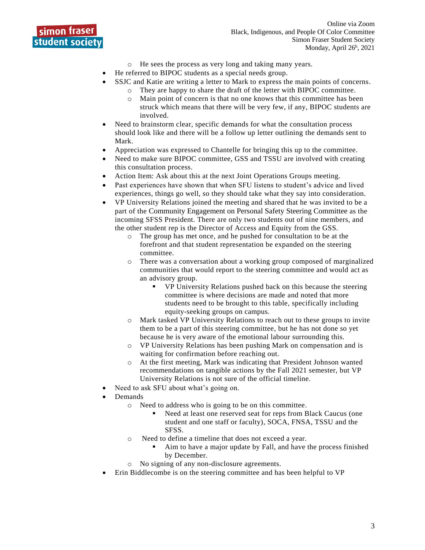

- o He sees the process as very long and taking many years.
- He referred to BIPOC students as a special needs group.
- SSJC and Katie are writing a letter to Mark to express the main points of concerns.
	- o They are happy to share the draft of the letter with BIPOC committee.
	- o Main point of concern is that no one knows that this committee has been struck which means that there will be very few, if any, BIPOC students are involved.
- Need to brainstorm clear, specific demands for what the consultation process should look like and there will be a follow up letter outlining the demands sent to Mark.
- Appreciation was expressed to Chantelle for bringing this up to the committee.
- Need to make sure BIPOC committee, GSS and TSSU are involved with creating this consultation process.
- Action Item: Ask about this at the next Joint Operations Groups meeting.
- Past experiences have shown that when SFU listens to student's advice and lived experiences, things go well, so they should take what they say into consideration.
- VP University Relations joined the meeting and shared that he was invited to be a part of the Community Engagement on Personal Safety Steering Committee as the incoming SFSS President. There are only two students out of nine members, and the other student rep is the Director of Access and Equity from the GSS.
	- o The group has met once, and he pushed for consultation to be at the forefront and that student representation be expanded on the steering committee.
	- o There was a conversation about a working group composed of marginalized communities that would report to the steering committee and would act as an advisory group.
		- VP University Relations pushed back on this because the steering committee is where decisions are made and noted that more students need to be brought to this table, specifically including equity-seeking groups on campus.
	- o Mark tasked VP University Relations to reach out to these groups to invite them to be a part of this steering committee, but he has not done so yet because he is very aware of the emotional labour surrounding this.
	- o VP University Relations has been pushing Mark on compensation and is waiting for confirmation before reaching out.
	- o At the first meeting, Mark was indicating that President Johnson wanted recommendations on tangible actions by the Fall 2021 semester, but VP University Relations is not sure of the official timeline.
- Need to ask SFU about what's going on.
- Demands
	- o Need to address who is going to be on this committee.
		- Need at least one reserved seat for reps from Black Caucus (one student and one staff or faculty), SOCA, FNSA, TSSU and the SFSS.
	- o Need to define a timeline that does not exceed a year.
		- Aim to have a major update by Fall, and have the process finished by December.
	- o No signing of any non-disclosure agreements.
- Erin Biddlecombe is on the steering committee and has been helpful to VP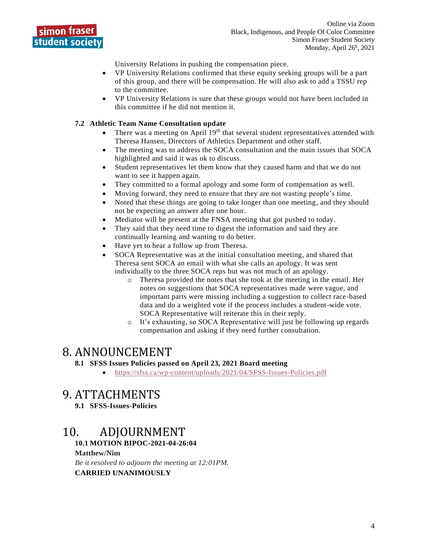

University Relations in pushing the compensation piece.

- VP University Relations confirmed that these equity seeking groups will be a part of this group, and there will be compensation. He will also ask to add a TSSU rep to the committee.
- VP University Relations is sure that these groups would not have been included in this committee if he did not mention it.

#### **7.2 Athletic Team Name Consultation update**

- There was a meeting on April 19<sup>th</sup> that several student representatives attended with Theresa Hansen, Directors of Athletics Department and other staff.
- The meeting was to address the SOCA consultation and the main issues that SOCA highlighted and said it was ok to discuss.
- Student representatives let them know that they caused harm and that we do not want to see it happen again.
- They committed to a formal apology and some form of compensation as well.
- Moving forward, they need to ensure that they are not wasting people's time.
- Noted that these things are going to take longer than one meeting, and they should not be expecting an answer after one hour.
- Mediator will be present at the FNSA meeting that got pushed to today.
- They said that they need time to digest the information and said they are continually learning and wanting to do better.
- Have yet to hear a follow up from Theresa.
- SOCA Representative was at the initial consultation meeting, and shared that Theresa sent SOCA an email with what she calls an apology. It was sent individually to the three SOCA reps but was not much of an apology.
	- o Theresa provided the notes that she took at the meeting in the email. Her notes on suggestions that SOCA representatives made were vague, and important parts were missing including a suggestion to collect race-based data and do a weighted vote if the process includes a student-wide vote. SOCA Representative will reiterate this in their reply.
	- o It's exhausting, so SOCA Representative will just be following up regards compensation and asking if they need further consultation.

## 8. ANNOUNCEMENT

#### **8.1 SFSS Issues Policies passed on April 23, 2021 Board meeting**

• <https://sfss.ca/wp-content/uploads/2021/04/SFSS-Issues-Policies.pdf>

## 9. ATTACHMENTS

**9.1 SFSS-Issues-Policies**

## 10. ADJOURNMENT

**10.1 MOTION BIPOC-2021-04-26:04**

#### **Matthew/Nim**

*Be it resolved to adjourn the meeting at 12:01PM.* **CARRIED UNANIMOUSLY**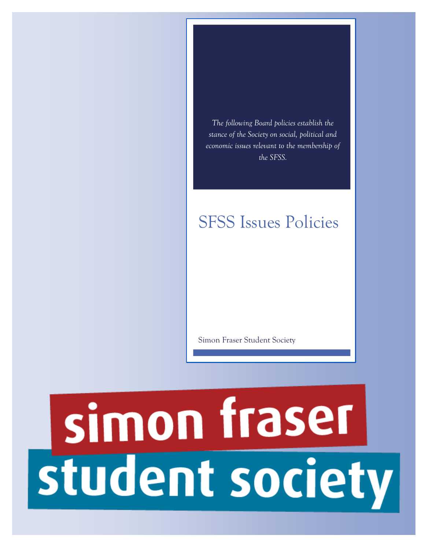*The following Board policies establish the stance of the Society on social, political and economic issues relevant to the membership of the SFSS.*

# SFSS Issues Policies

Simon Fraser Student Society

# simon fraser student society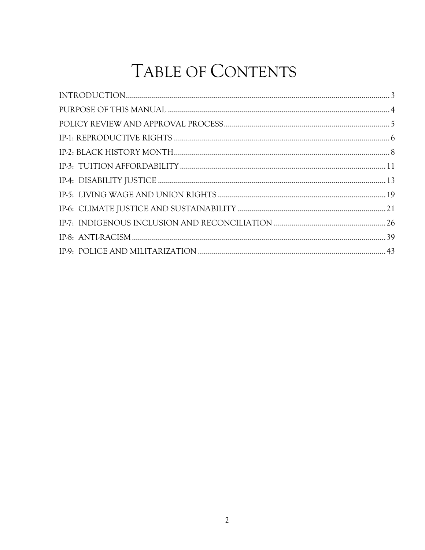# TABLE OF CONTENTS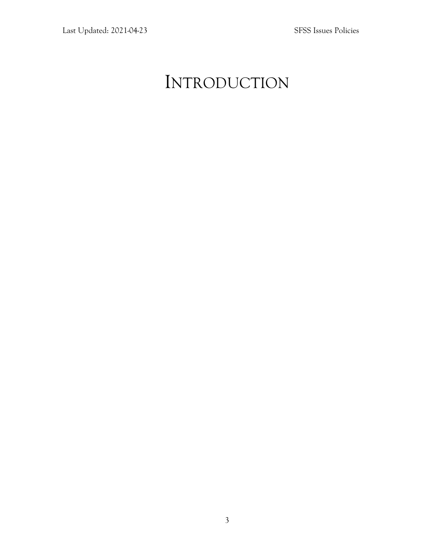# <span id="page-6-0"></span>INTRODUCTION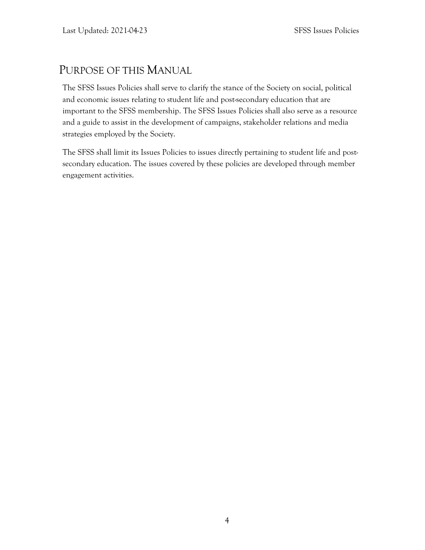## <span id="page-7-0"></span>PURPOSE OF THIS MANUAL

The SFSS Issues Policies shall serve to clarify the stance of the Society on social, political and economic issues relating to student life and post-secondary education that are important to the SFSS membership. The SFSS Issues Policies shall also serve as a resource and a guide to assist in the development of campaigns, stakeholder relations and media strategies employed by the Society.

The SFSS shall limit its Issues Policies to issues directly pertaining to student life and postsecondary education. The issues covered by these policies are developed through member engagement activities.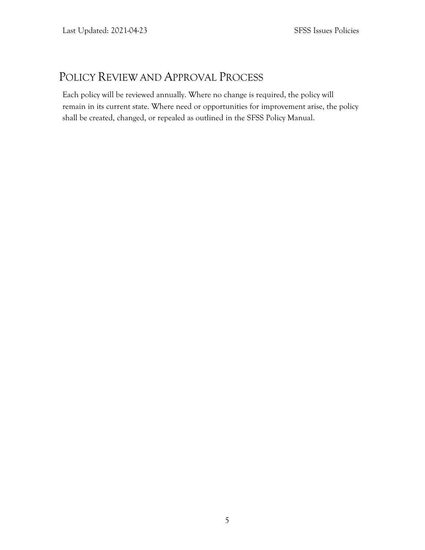## <span id="page-8-0"></span>POLICY REVIEW AND APPROVAL PROCESS

Each policy will be reviewed annually. Where no change is required, the policy will remain in its current state. Where need or opportunities for improvement arise, the policy shall be created, changed, or repealed as outlined in the SFSS Policy Manual.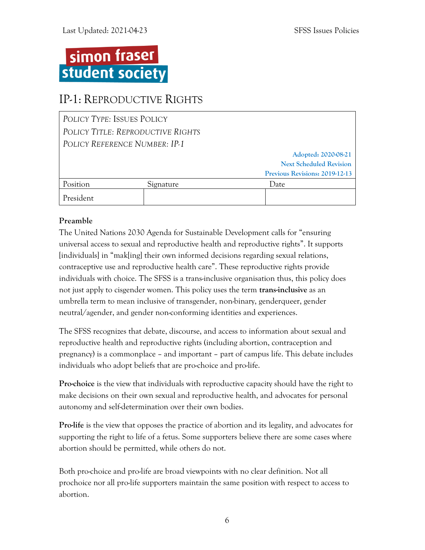# simon fraser student society

## <span id="page-9-0"></span>IP-1: REPRODUCTIVE RIGHTS

| POLICY TYPE: ISSUES POLICY        |           |                                |
|-----------------------------------|-----------|--------------------------------|
| POLICY TITLE: REPRODUCTIVE RIGHTS |           |                                |
| POLICY REFERENCE NUMBER: IP-1     |           |                                |
|                                   |           | Adopted: 2020-08-21            |
|                                   |           | <b>Next Scheduled Revision</b> |
|                                   |           | Previous Revisions: 2019-12-13 |
| Position                          | Signature | Date.                          |
| President                         |           |                                |

#### **Preamble**

The United Nations 2030 Agenda for Sustainable Development calls for "ensuring universal access to sexual and reproductive health and reproductive rights". It supports [individuals] in "mak[ing] their own informed decisions regarding sexual relations, contraceptive use and reproductive health care". These reproductive rights provide individuals with choice. The SFSS is a trans-inclusive organisation thus, this policy does not just apply to cisgender women. This policy uses the term **trans-inclusive** as an umbrella term to mean inclusive of transgender, non-binary, genderqueer, gender neutral/agender, and gender non-conforming identities and experiences.

The SFSS recognizes that debate, discourse, and access to information about sexual and reproductive health and reproductive rights (including abortion, contraception and pregnancy) is a commonplace – and important – part of campus life. This debate includes individuals who adopt beliefs that are pro-choice and pro-life.

**Pro-choice** is the view that individuals with reproductive capacity should have the right to make decisions on their own sexual and reproductive health, and advocates for personal autonomy and self-determination over their own bodies.

**Pro-life** is the view that opposes the practice of abortion and its legality, and advocates for supporting the right to life of a fetus. Some supporters believe there are some cases where abortion should be permitted, while others do not.

Both pro-choice and pro-life are broad viewpoints with no clear definition. Not all prochoice nor all pro-life supporters maintain the same position with respect to access to abortion.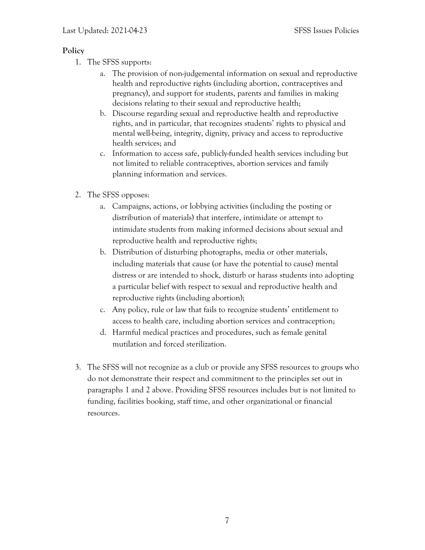#### **Policy**

- 1. The SFSS supports:
	- a. The provision of non-judgemental information on sexual and reproductive health and reproductive rights (including abortion, contraceptives and pregnancy), and support for students, parents and families in making decisions relating to their sexual and reproductive health;
	- b. Discourse regarding sexual and reproductive health and reproductive rights, and in particular, that recognizes students' rights to physical and mental well-being, integrity, dignity, privacy and access to reproductive health services; and
	- c. Information to access safe, publicly-funded health services including but not limited to reliable contraceptives, abortion services and family planning information and services.
- 2. The SFSS opposes:
	- a. Campaigns, actions, or lobbying activities (including the posting or distribution of materials) that interfere, intimidate or attempt to intimidate students from making informed decisions about sexual and reproductive health and reproductive rights;
	- b. Distribution of disturbing photographs, media or other materials, including materials that cause (or have the potential to cause) mental distress or are intended to shock, disturb or harass students into adopting a particular belief with respect to sexual and reproductive health and reproductive rights (including abortion);
	- c. Any policy, rule or law that fails to recognize students' entitlement to access to health care, including abortion services and contraception;
	- d. Harmful medical practices and procedures, such as female genital mutilation and forced sterilization.
- 3. The SFSS will not recognize as a club or provide any SFSS resources to groups who do not demonstrate their respect and commitment to the principles set out in paragraphs 1 and 2 above. Providing SFSS resources includes but is not limited to funding, facilities booking, staff time, and other organizational or financial resources.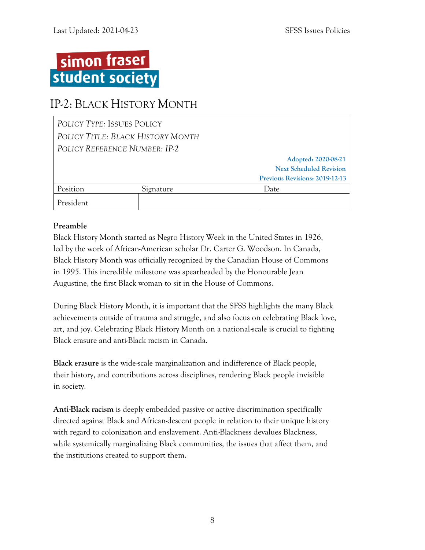

## <span id="page-11-0"></span>IP-2: BLACK HISTORY MONTH

| POLICY TYPE: ISSUES POLICY        |                               |                                |
|-----------------------------------|-------------------------------|--------------------------------|
| POLICY TITLE: BLACK HISTORY MONTH |                               |                                |
|                                   | POLICY REFERENCE NUMBER: IP-2 |                                |
|                                   |                               | Adopted: 2020-08-21            |
|                                   |                               | <b>Next Scheduled Revision</b> |
|                                   |                               | Previous Revisions: 2019-12-13 |
| Position                          | Signature                     | Date                           |
| President                         |                               |                                |

#### **Preamble**

Black History Month started as Negro History Week in the United States in 1926, led by the work of African-American scholar Dr. Carter G. Woodson. In Canada, Black History Month was officially recognized by the Canadian House of Commons in 1995. This incredible milestone was spearheaded by the Honourable Jean Augustine, the first Black woman to sit in the House of Commons.

During Black History Month, it is important that the SFSS highlights the many Black achievements outside of trauma and struggle, and also focus on celebrating Black love, art, and joy. Celebrating Black History Month on a national-scale is crucial to fighting Black erasure and anti-Black racism in Canada.

**Black erasure** is the wide-scale marginalization and indifference of Black people, their history, and contributions across disciplines, rendering Black people invisible in society.

**Anti-Black racism** is deeply embedded passive or active discrimination specifically directed against Black and African-descent people in relation to their unique history with regard to colonization and enslavement. Anti-Blackness devalues Blackness, while systemically marginalizing Black communities, the issues that affect them, and the institutions created to support them.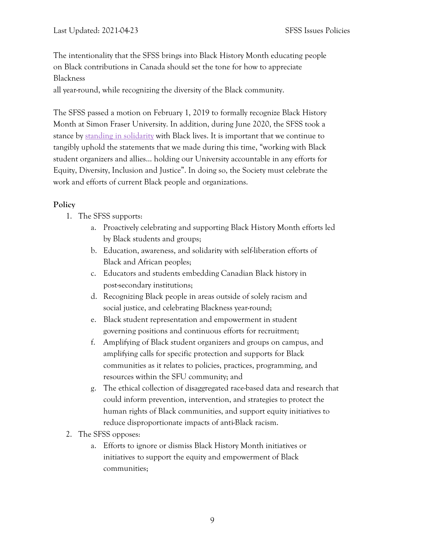The intentionality that the SFSS brings into Black History Month educating people on Black contributions in Canada should set the tone for how to appreciate Blackness

all year-round, while recognizing the diversity of the Black community.

The SFSS passed a motion on February 1, 2019 to formally recognize Black History Month at Simon Fraser University. In addition, during June 2020, the SFSS took a stance by standing in [solidarity](https://sfss.ca/sfss-stands-in-solidarity-with-black-lives-matter/) with Black lives. It is important that we continue to tangibly uphold the statements that we made during this time, "working with Black student organizers and allies… holding our University accountable in any efforts for Equity, Diversity, Inclusion and Justice". In doing so, the Society must celebrate the work and efforts of current Black people and organizations.

#### **Policy**

- 1. The SFSS supports:
	- a. Proactively celebrating and supporting Black History Month efforts led by Black students and groups;
	- b. Education, awareness, and solidarity with self-liberation efforts of Black and African peoples;
	- c. Educators and students embedding Canadian Black history in post-secondary institutions;
	- d. Recognizing Black people in areas outside of solely racism and social justice, and celebrating Blackness year-round;
	- e. Black student representation and empowerment in student governing positions and continuous efforts for recruitment;
	- f. Amplifying of Black student organizers and groups on campus, and amplifying calls for specific protection and supports for Black communities as it relates to policies, practices, programming, and resources within the SFU community; and
	- g. The ethical collection of disaggregated race-based data and research that could inform prevention, intervention, and strategies to protect the human rights of Black communities, and support equity initiatives to reduce disproportionate impacts of anti-Black racism.
- 2. The SFSS opposes:
	- a. Efforts to ignore or dismiss Black History Month initiatives or initiatives to support the equity and empowerment of Black communities;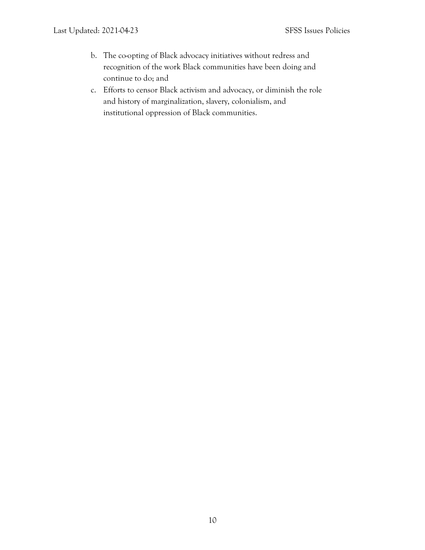- b. The co-opting of Black advocacy initiatives without redress and recognition of the work Black communities have been doing and continue to do; and
- c. Efforts to censor Black activism and advocacy, or diminish the role and history of marginalization, slavery, colonialism, and institutional oppression of Black communities.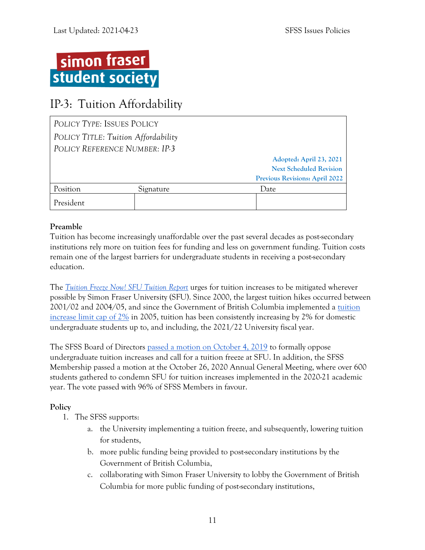

## <span id="page-14-0"></span>IP-3: Tuition Affordability

| POLICY TYPE: ISSUES POLICY |                                     |                                |
|----------------------------|-------------------------------------|--------------------------------|
|                            | POLICY TITLE: Tuition Affordability |                                |
|                            | POLICY REFERENCE NUMBER: IP-3       |                                |
|                            |                                     | Adopted: April 23, 2021        |
|                            |                                     | <b>Next Scheduled Revision</b> |
|                            |                                     | Previous Revisions: April 2022 |
| Position                   | Signature                           | Date                           |
| President                  |                                     |                                |

#### **Preamble**

Tuition has become increasingly unaffordable over the past several decades as post-secondary institutions rely more on tuition fees for funding and less on government funding. Tuition costs remain one of the largest barriers for undergraduate students in receiving a post-secondary education.

The *[Tuition Freeze Now! SFU Tuition Report](http://www.tuitionfreezenow.com/wp-content/uploads/2019/03/Tuition-Report.pdf)* urges for tuition increases to be mitigated wherever possible by Simon Fraser University (SFU). Since 2000, the largest tuition hikes occurred between 2001/02 and 2004/05, and since the Government of British Columbia implemented a [tuition](https://www2.gov.bc.ca/gov/content/education-training/post-secondary-education/institution-resources-administration/tuition-limit-policy)  [increase limit cap of 2%](https://www2.gov.bc.ca/gov/content/education-training/post-secondary-education/institution-resources-administration/tuition-limit-policy) in 2005, tuition has been consistently increasing by 2% for domestic undergraduate students up to, and including, the 2021/22 University fiscal year.

The SFSS Board of Directors [passed a motion on October 4, 2019](https://sfss.ca/wp-content/uploads/2019/11/Board-of-Directors-2019-10-04-minutes.pdf) to formally oppose undergraduate tuition increases and call for a tuition freeze at SFU. In addition, the SFSS Membership passed a motion at the October 26, 2020 Annual General Meeting, where over 600 students gathered to condemn SFU for tuition increases implemented in the 2020-21 academic year. The vote passed with 96% of SFSS Members in favour.

#### **Policy**

- 1. The SFSS supports:
	- a. the University implementing a tuition freeze, and subsequently, lowering tuition for students,
	- b. more public funding being provided to post-secondary institutions by the Government of British Columbia,
	- c. collaborating with Simon Fraser University to lobby the Government of British Columbia for more public funding of post-secondary institutions,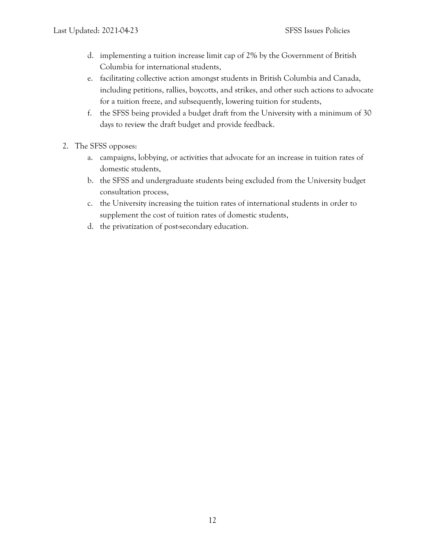- d. implementing a tuition increase limit cap of 2% by the Government of British Columbia for international students,
- e. facilitating collective action amongst students in British Columbia and Canada, including petitions, rallies, boycotts, and strikes, and other such actions to advocate for a tuition freeze, and subsequently, lowering tuition for students,
- f. the SFSS being provided a budget draft from the University with a minimum of 30 days to review the draft budget and provide feedback.
- 2. The SFSS opposes:
	- a. campaigns, lobbying, or activities that advocate for an increase in tuition rates of domestic students,
	- b. the SFSS and undergraduate students being excluded from the University budget consultation process,
	- c. the University increasing the tuition rates of international students in order to supplement the cost of tuition rates of domestic students,
	- d. the privatization of post-secondary education.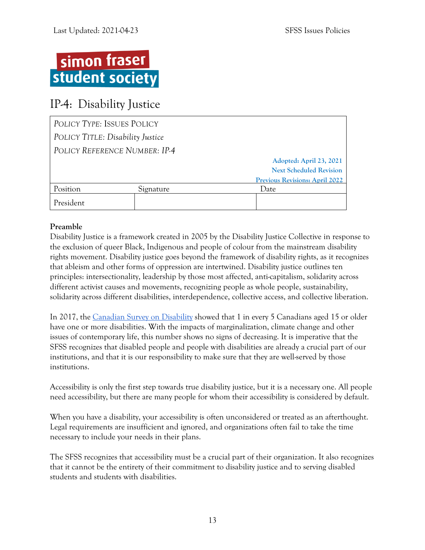# simon fraser student society

## <span id="page-16-0"></span>IP-4: Disability Justice

| POLICY TYPE: ISSUES POLICY |                                  |                                       |
|----------------------------|----------------------------------|---------------------------------------|
|                            | POLICY TITLE: Disability Justice |                                       |
|                            | POLICY REFERENCE NUMBER: IP-4    |                                       |
|                            |                                  | Adopted: April 23, 2021               |
|                            |                                  | <b>Next Scheduled Revision</b>        |
|                            |                                  | <b>Previous Revisions: April 2022</b> |
| Position                   | Signature                        | Date                                  |
| President                  |                                  |                                       |

#### **Preamble**

Disability Justice is a framework created in 2005 by the Disability Justice Collective in response to the exclusion of queer Black, Indigenous and people of colour from the mainstream disability rights movement. Disability justice goes beyond the framework of disability rights, as it recognizes that ableism and other forms of oppression are intertwined. Disability justice outlines ten principles: intersectionality, leadership by those most affected, anti-capitalism, solidarity across different activist causes and movements, recognizing people as whole people, sustainability, solidarity across different disabilities, interdependence, collective access, and collective liberation.

In 2017, the [Canadian Survey on Disability](https://www150.statcan.gc.ca/n1/pub/89-654-x/89-654-x2018002-eng.htm) showed that 1 in every 5 Canadians aged 15 or older have one or more disabilities. With the impacts of marginalization, climate change and other issues of contemporary life, this number shows no signs of decreasing. It is imperative that the SFSS recognizes that disabled people and people with disabilities are already a crucial part of our institutions, and that it is our responsibility to make sure that they are well-served by those institutions.

Accessibility is only the first step towards true disability justice, but it is a necessary one. All people need accessibility, but there are many people for whom their accessibility is considered by default.

When you have a disability, your accessibility is often unconsidered or treated as an afterthought. Legal requirements are insufficient and ignored, and organizations often fail to take the time necessary to include your needs in their plans.

The SFSS recognizes that accessibility must be a crucial part of their organization. It also recognizes that it cannot be the entirety of their commitment to disability justice and to serving disabled students and students with disabilities.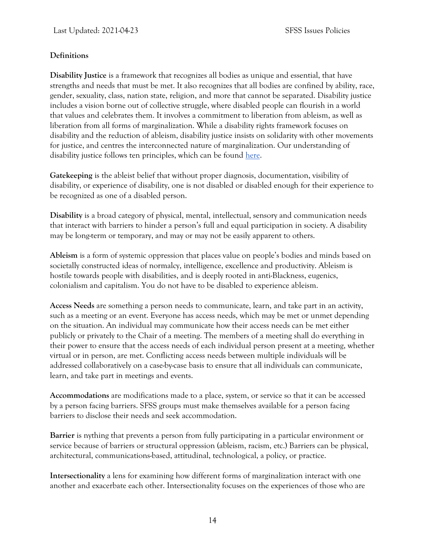#### **Definitions**

**Disability Justice** is a framework that recognizes all bodies as unique and essential, that have strengths and needs that must be met. It also recognizes that all bodies are confined by ability, race, gender, sexuality, class, nation state, religion, and more that cannot be separated. Disability justice includes a vision borne out of collective struggle, where disabled people can flourish in a world that values and celebrates them. It involves a commitment to liberation from ableism, as well as liberation from all forms of marginalization. While a disability rights framework focuses on disability and the reduction of ableism, disability justice insists on solidarity with other movements for justice, and centres the interconnected nature of marginalization. Our understanding of disability justice follows ten principles, which can be found [here.](https://muse.jhu.edu/article/690824/pdf)

**Gatekeeping** is the ableist belief that without proper diagnosis, documentation, visibility of disability, or experience of disability, one is not disabled or disabled enough for their experience to be recognized as one of a disabled person.

**Disability** is a broad category of physical, mental, intellectual, sensory and communication needs that interact with barriers to hinder a person's full and equal participation in society. A disability may be long-term or temporary, and may or may not be easily apparent to others.

**Ableism** is a form of systemic oppression that places value on people's bodies and minds based on societally constructed ideas of normalcy, intelligence, excellence and productivity. Ableism is hostile towards people with disabilities, and is deeply rooted in anti-Blackness, eugenics, colonialism and capitalism. You do not have to be disabled to experience ableism.

**Access Needs** are something a person needs to communicate, learn, and take part in an activity, such as a meeting or an event. Everyone has access needs, which may be met or unmet depending on the situation. An individual may communicate how their access needs can be met either publicly or privately to the Chair of a meeting. The members of a meeting shall do everything in their power to ensure that the access needs of each individual person present at a meeting, whether virtual or in person, are met. Conflicting access needs between multiple individuals will be addressed collaboratively on a case-by-case basis to ensure that all individuals can communicate, learn, and take part in meetings and events.

**Accommodations** are modifications made to a place, system, or service so that it can be accessed by a person facing barriers. SFSS groups must make themselves available for a person facing barriers to disclose their needs and seek accommodation.

**Barrier** is nything that prevents a person from fully participating in a particular environment or service because of barriers or structural oppression (ableism, racism, etc.) Barriers can be physical, architectural, communications-based, attitudinal, technological, a policy, or practice.

**Intersectionality** a lens for examining how different forms of marginalization interact with one another and exacerbate each other. Intersectionality focuses on the experiences of those who are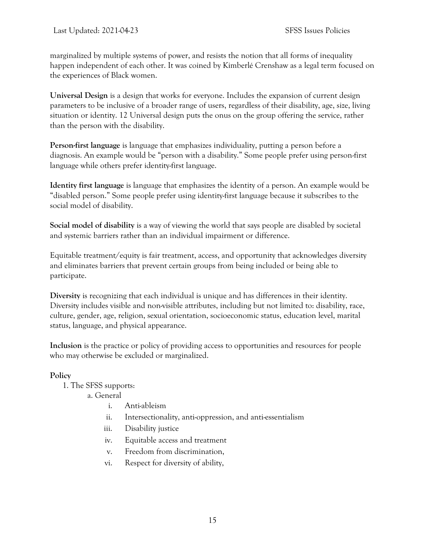marginalized by multiple systems of power, and resists the notion that all forms of inequality happen independent of each other. It was coined by Kimberlé Crenshaw as a legal term focused on the experiences of Black women.

**Universal Design** is a design that works for everyone. Includes the expansion of current design parameters to be inclusive of a broader range of users, regardless of their disability, age, size, living situation or identity. 12 Universal design puts the onus on the group offering the service, rather than the person with the disability.

**Person-first language** is language that emphasizes individuality, putting a person before a diagnosis. An example would be "person with a disability." Some people prefer using person-first language while others prefer identity-first language.

**Identity first language** is language that emphasizes the identity of a person. An example would be "disabled person." Some people prefer using identity-first language because it subscribes to the social model of disability.

**Social model of disability** is a way of viewing the world that says people are disabled by societal and systemic barriers rather than an individual impairment or difference.

Equitable treatment/equity is fair treatment, access, and opportunity that acknowledges diversity and eliminates barriers that prevent certain groups from being included or being able to participate.

**Diversity** is recognizing that each individual is unique and has differences in their identity. Diversity includes visible and non-visible attributes, including but not limited to: disability, race, culture, gender, age, religion, sexual orientation, socioeconomic status, education level, marital status, language, and physical appearance.

**Inclusion** is the practice or policy of providing access to opportunities and resources for people who may otherwise be excluded or marginalized.

#### **Policy**

- 1. The SFSS supports:
	- a. General
		- i. Anti-ableism
		- ii. Intersectionality, anti-oppression, and anti-essentialism
		- iii. Disability justice
		- iv. Equitable access and treatment
		- v. Freedom from discrimination,
		- vi. Respect for diversity of ability,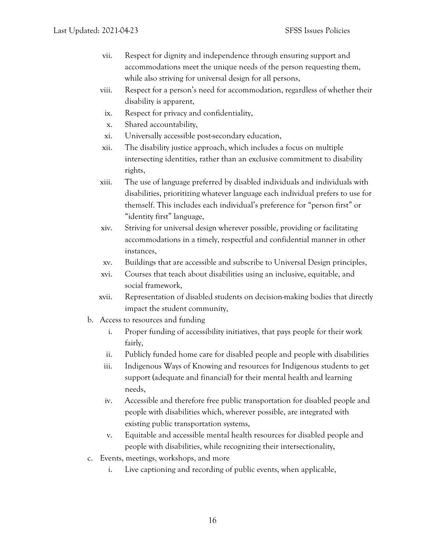- vii. Respect for dignity and independence through ensuring support and accommodations meet the unique needs of the person requesting them, while also striving for universal design for all persons,
- viii. Respect for a person's need for accommodation, regardless of whether their disability is apparent,
- ix. Respect for privacy and confidentiality,
- x. Shared accountability,
- xi. Universally accessible post-secondary education,
- xii. The disability justice approach, which includes a focus on multiple intersecting identities, rather than an exclusive commitment to disability rights,
- xiii. The use of language preferred by disabled individuals and individuals with disabilities, prioritizing whatever language each individual prefers to use for themself. This includes each individual's preference for "person first" or "identity first" language,
- xiv. Striving for universal design wherever possible, providing or facilitating accommodations in a timely, respectful and confidential manner in other instances,
- xv. Buildings that are accessible and subscribe to Universal Design principles,
- xvi. Courses that teach about disabilities using an inclusive, equitable, and social framework,
- xvii. Representation of disabled students on decision-making bodies that directly impact the student community,
- b. Access to resources and funding
	- i. Proper funding of accessibility initiatives, that pays people for their work fairly,
	- ii. Publicly funded home care for disabled people and people with disabilities
	- iii. Indigenous Ways of Knowing and resources for Indigenous students to get support (adequate and financial) for their mental health and learning needs,
	- iv. Accessible and therefore free public transportation for disabled people and people with disabilities which, wherever possible, are integrated with existing public transportation systems,
	- v. Equitable and accessible mental health resources for disabled people and people with disabilities, while recognizing their intersectionality,
- c. Events, meetings, workshops, and more
	- i. Live captioning and recording of public events, when applicable,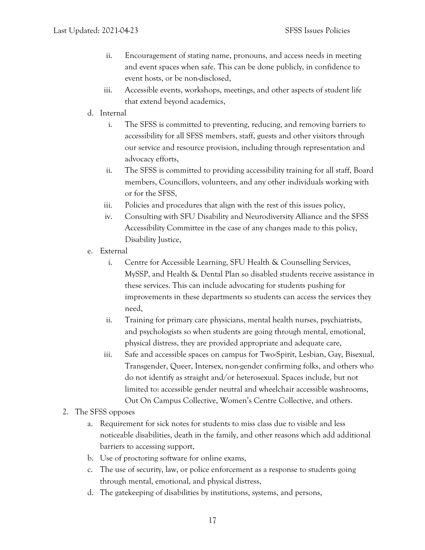- ii. Encouragement of stating name, pronouns, and access needs in meeting and event spaces when safe. This can be done publicly, in confidence to event hosts, or be non-disclosed,
- iii. Accessible events, workshops, meetings, and other aspects of student life that extend beyond academics,
- d. Internal
	- i. The SFSS is committed to preventing, reducing, and removing barriers to accessibility for all SFSS members, staff, guests and other visitors through our service and resource provision, including through representation and advocacy efforts,
	- ii. The SFSS is committed to providing accessibility training for all staff, Board members, Councillors, volunteers, and any other individuals working with or for the SFSS,
	- iii. Policies and procedures that align with the rest of this issues policy,
	- iv. Consulting with SFU Disability and Neurodiversity Alliance and the SFSS Accessibility Committee in the case of any changes made to this policy, Disability Justice,
- e. External
	- i. Centre for Accessible Learning, SFU Health & Counselling Services, MySSP, and Health & Dental Plan so disabled students receive assistance in these services. This can include advocating for students pushing for improvements in these departments so students can access the services they need,
	- ii. Training for primary care physicians, mental health nurses, psychiatrists, and psychologists so when students are going through mental, emotional, physical distress, they are provided appropriate and adequate care,
	- iii. Safe and accessible spaces on campus for Two-Spirit, Lesbian, Gay, Bisexual, Transgender, Queer, Intersex, non-gender confirming folks, and others who do not identify as straight and/or heterosexual. Spaces include, but not limited to: accessible gender neutral and wheelchair accessible washrooms, Out On Campus Collective, Women's Centre Collective, and others.
- 2. The SFSS opposes
	- a. Requirement for sick notes for students to miss class due to visible and less noticeable disabilities, death in the family, and other reasons which add additional barriers to accessing support,
	- b. Use of proctoring software for online exams,
	- c. The use of security, law, or police enforcement as a response to students going through mental, emotional, and physical distress,
	- d. The gatekeeping of disabilities by institutions, systems, and persons,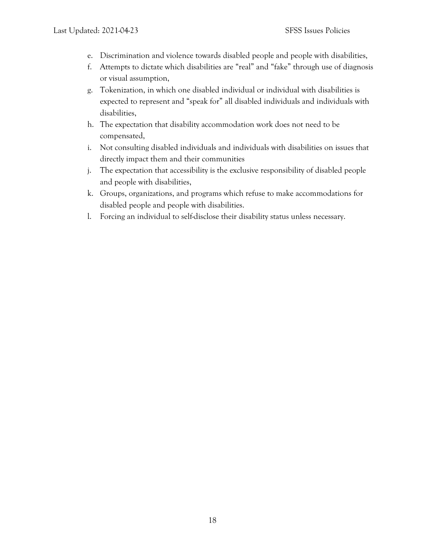- e. Discrimination and violence towards disabled people and people with disabilities,
- f. Attempts to dictate which disabilities are "real" and "fake" through use of diagnosis or visual assumption,
- g. Tokenization, in which one disabled individual or individual with disabilities is expected to represent and "speak for" all disabled individuals and individuals with disabilities,
- h. The expectation that disability accommodation work does not need to be compensated,
- i. Not consulting disabled individuals and individuals with disabilities on issues that directly impact them and their communities
- j. The expectation that accessibility is the exclusive responsibility of disabled people and people with disabilities,
- k. Groups, organizations, and programs which refuse to make accommodations for disabled people and people with disabilities.
- l. Forcing an individual to self-disclose their disability status unless necessary.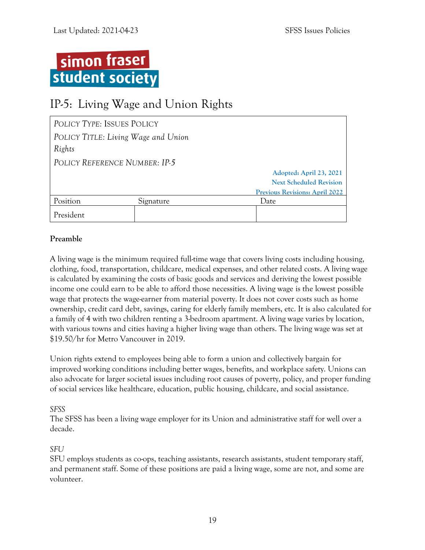

## <span id="page-22-0"></span>IP-5: Living Wage and Union Rights

| POLICY TYPE: ISSUES POLICY    |                                     |                                       |
|-------------------------------|-------------------------------------|---------------------------------------|
|                               | POLICY TITLE: Living Wage and Union |                                       |
| Rights                        |                                     |                                       |
| POLICY REFERENCE NUMBER: IP-5 |                                     |                                       |
|                               |                                     | Adopted: April 23, 2021               |
|                               |                                     | <b>Next Scheduled Revision</b>        |
|                               |                                     | <b>Previous Revisions: April 2022</b> |
| Position                      | Signature                           | Date                                  |
| President                     |                                     |                                       |

#### **Preamble**

A living wage is the minimum required full-time wage that covers living costs including housing, clothing, food, transportation, childcare, medical expenses, and other related costs. A living wage is calculated by examining the costs of basic goods and services and deriving the lowest possible income one could earn to be able to afford those necessities. A living wage is the lowest possible wage that protects the wage-earner from material poverty. It does not cover costs such as home ownership, credit card debt, savings, caring for elderly family members, etc. It is also calculated for a family of 4 with two children renting a 3-bedroom apartment. A living wage varies by location, with various towns and cities having a higher living wage than others. The living wage was set at \$19.50/hr for Metro Vancouver in 2019.

Union rights extend to employees being able to form a union and collectively bargain for improved working conditions including better wages, benefits, and workplace safety. Unions can also advocate for larger societal issues including root causes of poverty, policy, and proper funding of social services like healthcare, education, public housing, childcare, and social assistance.

#### *SFSS*

The SFSS has been a living wage employer for its Union and administrative staff for well over a decade.

#### *SFU*

SFU employs students as co-ops, teaching assistants, research assistants, student temporary staff, and permanent staff. Some of these positions are paid a living wage, some are not, and some are volunteer.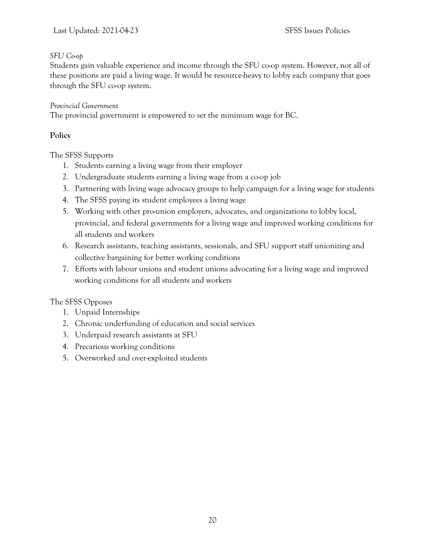#### *SFU Co-op*

Students gain valuable experience and income through the SFU co-op system. However, not all of these positions are paid a living wage. It would be resource-heavy to lobby each company that goes through the SFU co-op system.

#### *Provincial Government*

The provincial government is empowered to set the minimum wage for BC.

#### **Policy**

The SFSS Supports

- 1. Students earning a living wage from their employer
- 2. Undergraduate students earning a living wage from a co-op job
- 3. Partnering with living wage advocacy groups to help campaign for a living wage for students
- 4. The SFSS paying its student employees a living wage
- 5. Working with other pro-union employers, advocates, and organizations to lobby local, provincial, and federal governments for a living wage and improved working conditions for all students and workers
- 6. Research assistants, teaching assistants, sessionals, and SFU support staff unionizing and collective bargaining for better working conditions
- 7. Efforts with labour unions and student unions advocating for a living wage and improved working conditions for all students and workers

#### The SFSS Opposes

- 1. Unpaid Internships
- 2. Chronic underfunding of education and social services
- 3. Underpaid research assistants at SFU
- 4. Precarious working conditions
- 5. Overworked and over-exploited students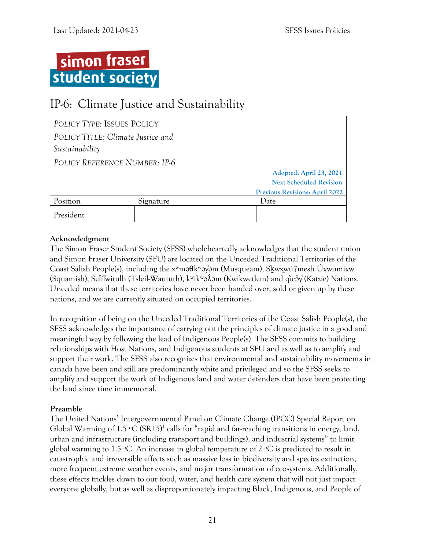

## <span id="page-24-0"></span>IP-6: Climate Justice and Sustainability

| POLICY TYPE: ISSUES POLICY        |           |                                       |
|-----------------------------------|-----------|---------------------------------------|
| POLICY TITLE: Climate Justice and |           |                                       |
| Sustainability                    |           |                                       |
| POLICY REFERENCE NUMBER: IP-6     |           |                                       |
|                                   |           | Adopted: April 23, 2021               |
|                                   |           | <b>Next Scheduled Revision</b>        |
|                                   |           | <b>Previous Revisions: April 2022</b> |
| Position                          | Signature | Date                                  |
| President                         |           |                                       |

#### **Acknowledgment**

The Simon Fraser Student Society (SFSS) wholeheartedly acknowledges that the student union and Simon Fraser University (SFU) are located on the Unceded Traditional Territories of the Coast Salish People(s), including the xʷməθkʷəy̓əm (Musqueam), Sḵwx̱wú7mesh Úxwumixw (Squamish), Sel̓íl̓witulh (Tsleil-Waututh), kʷikʷəƛ̓əm (Kwikwetlem) and q̓icə̓y̓(Katzie) Nations. Unceded means that these territories have never been handed over, sold or given up by these nations, and we are currently situated on occupied territories.

In recognition of being on the Unceded Traditional Territories of the Coast Salish People(s), the SFSS acknowledges the importance of carrying out the principles of climate justice in a good and meaningful way by following the lead of Indigenous People(s). The SFSS commits to building relationships with Host Nations, and Indigenous students at SFU and as well as to amplify and support their work. The SFSS also recognizes that environmental and sustainability movements in canada have been and still are predominantly white and privileged and so the SFSS seeks to amplify and support the work of Indigenous land and water defenders that have been protecting the land since time immemorial.

#### **Preamble**

The United Nations' Intergovernmental Panel on Climate Change (IPCC) Special Report on Global Warming of  $1.5 \text{ °C (SR15)}^1$  calls for "rapid and far-reaching transitions in energy, land, urban and infrastructure (including transport and buildings), and industrial systems" to limit global warming to 1.5 °C. An increase in global temperature of 2 °C is predicted to result in catastrophic and irreversible effects such as massive loss in biodiversity and species extinction, more frequent extreme weather events, and major transformation of ecosystems. Additionally, these effects trickles down to our food, water, and health care system that will not just impact everyone globally, but as well as disproportionately impacting Black, Indigenous, and People of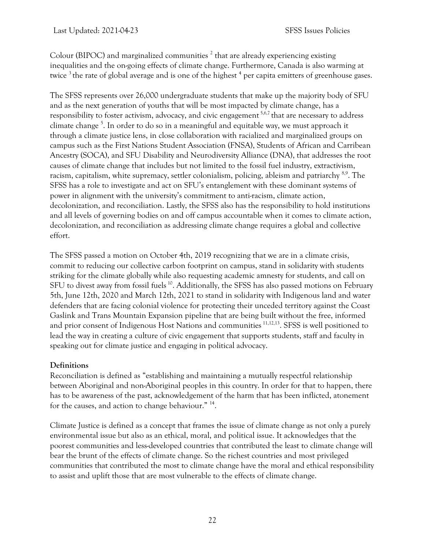Colour (BIPOC) and marginalized communities  $^2$  that are already experiencing existing inequalities and the on-going effects of climate change. Furthermore, Canada is also warming at twice  $3$  the rate of global average and is one of the highest  $4$  per capita emitters of greenhouse gases.

The SFSS represents over 26,000 undergraduate students that make up the majority body of SFU and as the next generation of youths that will be most impacted by climate change, has a responsibility to foster activism, advocacy, and civic engagement<sup>5,6,7</sup> that are necessary to address climate change <sup>5</sup>. In order to do so in a meaningful and equitable way, we must approach it through a climate justice lens, in close collaboration with racialized and marginalized groups on campus such as the First Nations Student Association (FNSA), Students of African and Carribean Ancestry (SOCA), and SFU Disability and Neurodiversity Alliance (DNA), that addresses the root causes of climate change that includes but not limited to the fossil fuel industry, extractivism, racism, capitalism, white supremacy, settler colonialism, policing, ableism and patriarchy <sup>8,9</sup>. The SFSS has a role to investigate and act on SFU's entanglement with these dominant systems of power in alignment with the university's commitment to anti-racism, climate action, decolonization, and reconciliation. Lastly, the SFSS also has the responsibility to hold institutions and all levels of governing bodies on and off campus accountable when it comes to climate action, decolonization, and reconciliation as addressing climate change requires a global and collective effort.

The SFSS passed a motion on October 4th, 2019 recognizing that we are in a climate crisis, commit to reducing our collective carbon footprint on campus, stand in solidarity with students striking for the climate globally while also requesting academic amnesty for students, and call on SFU to divest away from fossil fuels <sup>10</sup>. Additionally, the SFSS has also passed motions on February 5th, June 12th, 2020 and March 12th, 2021 to stand in solidarity with Indigenous land and water defenders that are facing colonial violence for protecting their unceded territory against the Coast Gaslink and Trans Mountain Expansion pipeline that are being built without the free, informed and prior consent of Indigenous Host Nations and communities <sup>11,12,13</sup>. SFSS is well positioned to lead the way in creating a culture of civic engagement that supports students, staff and faculty in speaking out for climate justice and engaging in political advocacy.

#### **Definitions**

Reconciliation is defined as "establishing and maintaining a mutually respectful relationship between Aboriginal and non-Aboriginal peoples in this country. In order for that to happen, there has to be awareness of the past, acknowledgement of the harm that has been inflicted, atonement for the causes, and action to change behaviour."<sup>14</sup>.

Climate Justice is defined as a concept that frames the issue of climate change as not only a purely environmental issue but also as an ethical, moral, and political issue. It acknowledges that the poorest communities and less-developed countries that contributed the least to climate change will bear the brunt of the effects of climate change. So the richest countries and most privileged communities that contributed the most to climate change have the moral and ethical responsibility to assist and uplift those that are most vulnerable to the effects of climate change.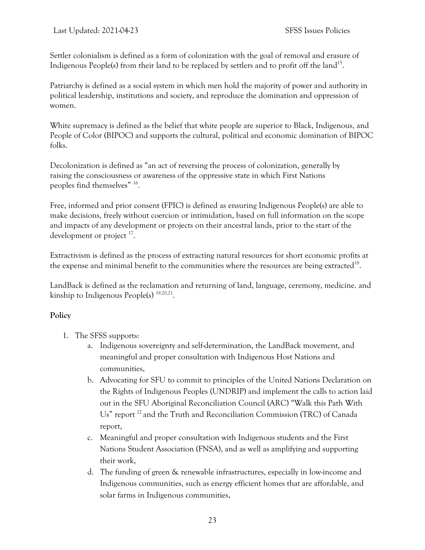Settler colonialism is defined as a form of colonization with the goal of removal and erasure of Indigenous People(s) from their land to be replaced by settlers and to profit off the land<sup>15</sup>.

Patriarchy is defined as a social system in which men hold the majority of power and authority in political leadership, institutions and society, and reproduce the domination and oppression of women.

White supremacy is defined as the belief that white people are superior to Black, Indigenous, and People of Color (BIPOC) and supports the cultural, political and economic domination of BIPOC folks.

Decolonization is defined as "an act of reversing the process of colonization, generally by raising the consciousness or awareness of the oppressive state in which First Nations peoples find themselves" <sup>16</sup> .

Free, informed and prior consent (FPIC) is defined as ensuring Indigenous People(s) are able to make decisions, freely without coercion or intimidation, based on full information on the scope and impacts of any development or projects on their ancestral lands, prior to the start of the development or project<sup>17</sup>.

Extractivism is defined as the process of extracting natural resources for short economic profits at the expense and minimal benefit to the communities where the resources are being extracted<sup>18</sup>.

LandBack is defined as the reclamation and returning of land, language, ceremony, medicine. and kinship to Indigenous People(s)  $19,20,21$ .

#### **Policy**

- 1. The SFSS supports:
	- a. Indigenous sovereignty and self-determination, the LandBack movement, and meaningful and proper consultation with Indigenous Host Nations and communities,
	- b. Advocating for SFU to commit to principles of the United Nations Declaration on the Rights of Indigenous Peoples (UNDRIP) and implement the calls to action laid out in the SFU Aboriginal Reconciliation Council (ARC) "Walk this Path With Us" report <sup>22</sup> and the Truth and Reconciliation Commission (TRC) of Canada report,
	- c. Meaningful and proper consultation with Indigenous students and the First Nations Student Association (FNSA), and as well as amplifying and supporting their work,
	- d. The funding of green & renewable infrastructures, especially in low-income and Indigenous communities, such as energy efficient homes that are affordable, and solar farms in Indigenous communities,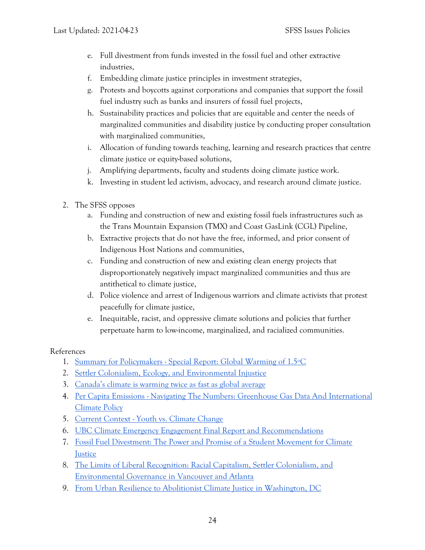- e. Full divestment from funds invested in the fossil fuel and other extractive industries,
- f. Embedding climate justice principles in investment strategies,
- g. Protests and boycotts against corporations and companies that support the fossil fuel industry such as banks and insurers of fossil fuel projects,
- h. Sustainability practices and policies that are equitable and center the needs of marginalized communities and disability justice by conducting proper consultation with marginalized communities,
- i. Allocation of funding towards teaching, learning and research practices that centre climate justice or equity-based solutions,
- j. Amplifying departments, faculty and students doing climate justice work.
- k. Investing in student led activism, advocacy, and research around climate justice.
- 2. The SFSS opposes
	- a. Funding and construction of new and existing fossil fuels infrastructures such as the Trans Mountain Expansion (TMX) and Coast GasLink (CGL) Pipeline,
	- b. Extractive projects that do not have the free, informed, and prior consent of Indigenous Host Nations and communities,
	- c. Funding and construction of new and existing clean energy projects that disproportionately negatively impact marginalized communities and thus are antithetical to climate justice,
	- d. Police violence and arrest of Indigenous warriors and climate activists that protest peacefully for climate justice,
	- e. Inequitable, racist, and oppressive climate solutions and policies that further perpetuate harm to low-income, marginalized, and racialized communities.

References

- 1. Summary for Policymakers [Special Report: Global Warming of 1.5ºC](https://www.ipcc.ch/sr15/chapter/spm/)
- 2. [Settler Colonialism, Ecology, and Environmental Injustice](https://www.berghahnjournals.com/view/journals/environment-and-society/9/1/ares090109.xml)
- 3. [Canada's climate is warming twice as fast as global average](https://www.canada.ca/en/environment-climate-change/news/2019/04/canadas-climate-is-warming-twice-as-fast-as-global-average.html)
- 4. Per Capita Emissions [Navigating The Numbers: Greenhouse Gas Data And International](http://pdf.wri.org/navigating_numbers_chapter4.pdf)  [Climate Policy](http://pdf.wri.org/navigating_numbers_chapter4.pdf)
- 5. Current Context [Youth vs. Climate Change](https://ucdavis.app.box.com/s/q6i71zjbb2ypwa2hdtdy244c53u3k2fi)
- 6. [UBC Climate Emergency Engagement Final Report and Recommendations](http://bm-climate-emergency-2020.sites.olt.ubc.ca/files/2021/02/4_2021.02_Climate-Emergency-Engagement.pdf)
- 7. [Fossil Fuel Divestment: The Power and Promise of a Student Movement for Climate](https://scholarship.claremont.edu/cgi/viewcontent.cgi?article=1057&context=pitzer_theses)  **[Justice](https://scholarship.claremont.edu/cgi/viewcontent.cgi?article=1057&context=pitzer_theses)**
- 8. [The Limits of Liberal Recognition: Racial Capitalism, Settler Colonialism, and](https://onlinelibrary.wiley.com/doi/abs/10.1111/anti.12465)  [Environmental Governance in Vancouver and Atlanta](https://onlinelibrary.wiley.com/doi/abs/10.1111/anti.12465)
- 9. [From Urban Resilience to Abolitionist Climate Justice in Washington, DC](https://www.onlinelibrary.wiley.com/doi/full/10.1111/anti.12555)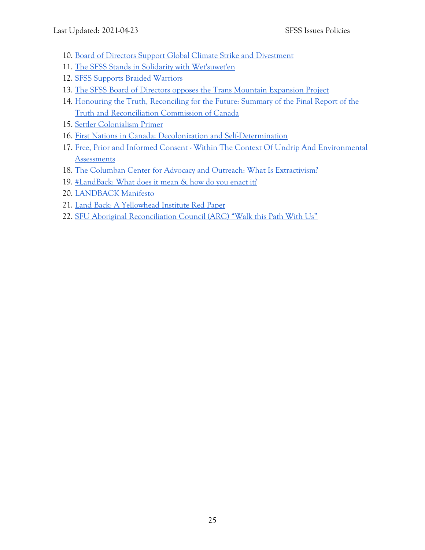- 10. [Board of Directors Support Global Climate Strike and Divestment](https://sfss.ca/wp-content/uploads/2019/11/Board-of-Directors-2019-10-04-minutes.pdf)
- 11. [The SFSS Stands in Solidarity with Wet'suwet'en](https://sfss.ca/wp-content/uploads/2020/02/BOARD-2020-02-05-Minutes.pdf)
- 12. [SFSS Supports Braided Warriors](https://sfss.ca/wp-content/uploads/2021/03/BOD-2021-03-12.pdf)
- 13. [The SFSS Board of Directors opposes the Trans Mountain Expansion Project](https://sfss.ca/wp-content/uploads/2020/06/BOARD-2020-06-12-Minutes.pdf)
- 14. [Honouring the Truth, Reconciling for the Future: Summary of the Final Report of the](https://ehprnh2mwo3.exactdn.com/wp-content/uploads/2021/01/Executive_Summary_English_Web.pdf)  [Truth and Reconciliation Commission of Canada](https://ehprnh2mwo3.exactdn.com/wp-content/uploads/2021/01/Executive_Summary_English_Web.pdf)
- 15. [Settler Colonialism Primer](https://unsettlingamerica.wordpress.com/2014/06/06/settler-colonialism-primer/)
- 16. [First Nations in Canada: Decolonization and Self-Determination](https://journals.uregina.ca/ineducation/article/download/142/618)
- 17. Free, Prior and Informed Consent [Within The Context Of Undrip And Environmental](https://www2.gov.bc.ca/assets/gov/environment/natural-resource-stewardship/environmental-assessments/environmental-assessment-revitalization/documents/free_prior_informed_consent_in_an_ea_context.pdf)  **[Assessments](https://www2.gov.bc.ca/assets/gov/environment/natural-resource-stewardship/environmental-assessments/environmental-assessment-revitalization/documents/free_prior_informed_consent_in_an_ea_context.pdf)**
- 18. [The Columban Center for Advocacy and Outreach: What Is Extractivism?](https://www.columbancenter.org/what-extractivism)
- 19. [#LandBack: What does it mean & how do you enact it?](https://www.youtube.com/watch?v=mouBKKNgAx0&ab_channel=YellowheadInstitute)
- 20. [LANDBACK Manifesto](https://landback.org/manifesto/)
- 21. [Land Back: A Yellowhead Institute Red Paper](https://redpaper.yellowheadinstitute.org/wp-content/uploads/2019/10/red-paper-report-final.pdf)
- 22. [SFU Aboriginal Reconciliation Council \(ARC\) "Walk this Path With Us"](https://www.sfu.ca/content/dam/sfu/reconciliation/SFU-ARC%20Walk%20This%20Path%20With%20Us_Full%20Report_Sept5.pdf)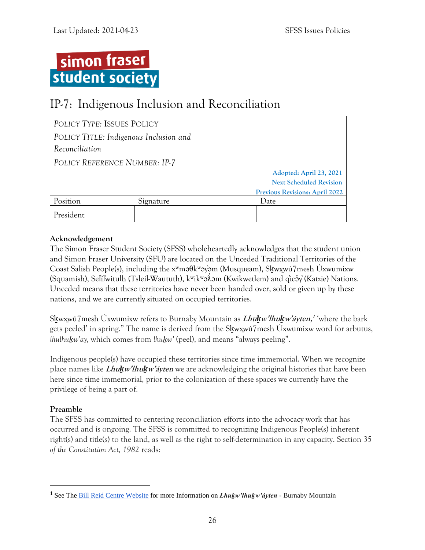

## <span id="page-29-0"></span>IP-7: Indigenous Inclusion and Reconciliation

| POLICY TYPE: ISSUES POLICY             |           |                                       |
|----------------------------------------|-----------|---------------------------------------|
| POLICY TITLE: Indigenous Inclusion and |           |                                       |
| Reconciliation                         |           |                                       |
| POLICY REFERENCE NUMBER: IP-7          |           |                                       |
|                                        |           | Adopted: April 23, 2021               |
|                                        |           | <b>Next Scheduled Revision</b>        |
|                                        |           | <b>Previous Revisions: April 2022</b> |
| Position                               | Signature | Date                                  |
| President                              |           |                                       |

#### **Acknowledgement**

The Simon Fraser Student Society (SFSS) wholeheartedly acknowledges that the student union and Simon Fraser University (SFU) are located on the Unceded Traditional Territories of the Coast Salish People(s), including the xʷməθkʷəy̓əm (Musqueam), Sḵwx̱wú7mesh Úxwumixw (Squamish), Selı́lwitulh (Tsleil-Waututh), k<sup>w</sup>ik<sup>w</sup>əÂəm (Kwikwetlem) and qı̈cə́y (Katzie) Nations. Unceded means that these territories have never been handed over, sold or given up by these nations, and we are currently situated on occupied territories.

Sḵwx̱wú7mesh Úxwumixw refers to Burnaby Mountain as **Lhu***ḵ***w'lhu***ḵ***w'áyten, 1** 'where the bark gets peeled' in spring." The name is derived from the Skwxwú7mesh Úxwumixw word for arbutus, *lhulhukw'ay*, which comes from *lhukw'* (peel), and means "always peeling".

Indigenous people(s) have occupied these territories since time immemorial. When we recognize place names like **Lhu***ḵ***w'lhu***ḵ***w'áyten** we are acknowledging the original histories that have been here since time immemorial, prior to the colonization of these spaces we currently have the privilege of being a part of.

#### **Preamble**

The SFSS has committed to centering reconciliation efforts into the advocacy work that has occurred and is ongoing. The SFSS is committed to recognizing Indigenous People(s) inherent right(s) and title(s) to the land, as well as the right to self-determination in any capacity. Section 35 *of the Constitution Act, 1982* reads:

<sup>1</sup> See The [Bill Reid Centre Website](https://www.sfu.ca/brc/imeshMobileApp/place-names/lhukwlhukwayten.html) for more Information on *Lhuḵw'lhuḵw'áyten* - Burnaby Mountain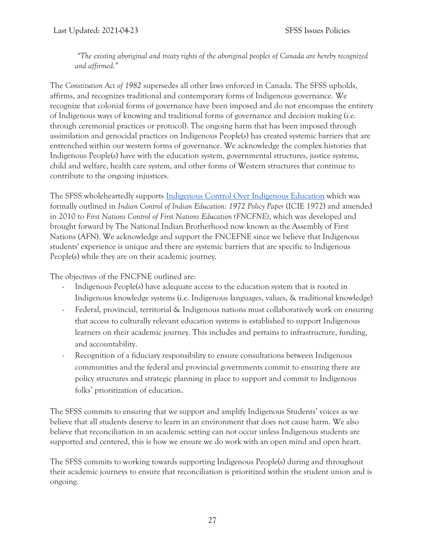*"The existing aboriginal and treaty rights of the aboriginal peoples of Canada are hereby recognized and affirmed."*

The *Constitution Act of 1982* supersedes all other laws enforced in Canada. The SFSS upholds, affirms, and recognizes traditional and contemporary forms of Indigenous governance. We recognize that colonial forms of governance have been imposed and do not encompass the entirety of Indigenous ways of knowing and traditional forms of governance and decision making (i.e. through ceremonial practices or protocol). The ongoing harm that has been imposed through assimilation and genocidal practices on Indigenous People(s) has created systemic barriers that are entrenched within our western forms of governance. We acknowledge the complex histories that Indigenous People(s) have with the education system, governmental structures, justice systems, child and welfare, health care system, and other forms of Western structures that continue to contribute to the ongoing injustices.

The SFSS wholeheartedly supports [Indigenous Control Over Indigenous Education](https://www.afn.ca/uploads/files/education/3._2010_july_afn_first_nations_control_of_first_nations_education_final_eng.pdf) which was formally outlined in *Indian Control of Indian Education: 1972 Policy Paper* (ICIE 1972) and amended in 2010 to *First Nations Control of First Nations Education (FNCFNE)*, which was developed and brought forward by The National Indian Brotherhood now known as the Assembly of First Nations (AFN). We acknowledge and support the FNCEFNE since we believe that Indigenous students' experience is unique and there are systemic barriers that are specific to Indigenous People(s) while they are on their academic journey.

The objectives of the FNCFNE outlined are:

- Indigenous People(s) have adequate access to the education system that is rooted in Indigenous knowledge systems (i.e. Indigenous languages, values, & traditional knowledge)
- Federal, provincial, territorial & Indigenous nations must collaboratively work on ensuring that access to culturally relevant education systems is established to support Indigenous learners on their academic journey. This includes and pertains to infrastructure, funding, and accountability.
- Recognition of a fiduciary responsibility to ensure consultations between Indigenous communities and the federal and provincial governments commit to ensuring there are policy structures and strategic planning in place to support and commit to Indigenous folks' prioritization of education.

The SFSS commits to ensuring that we support and amplify Indigenous Students' voices as we believe that all students deserve to learn in an environment that does not cause harm. We also believe that reconciliation in an academic setting can not occur unless Indigenous students are supported and centered, this is how we ensure we do work with an open mind and open heart.

The SFSS commits to working towards supporting Indigenous People(s) during and throughout their academic journeys to ensure that reconciliation is prioritized within the student union and is ongoing.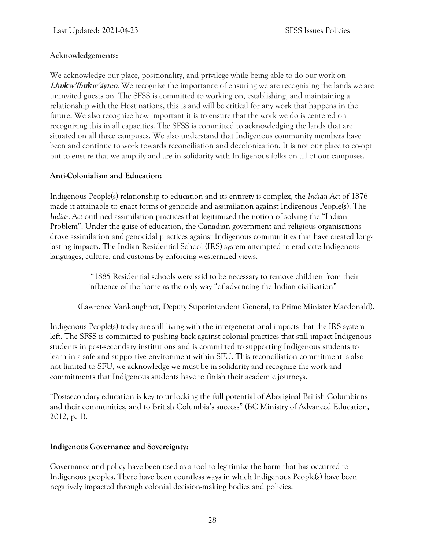#### **Acknowledgements:**

We acknowledge our place, positionality, and privilege while being able to do our work on **Lhu***ḵ***w'lhu***ḵ***w'áyten***.* We recognize the importance of ensuring we are recognizing the lands we are uninvited guests on. The SFSS is committed to working on, establishing, and maintaining a relationship with the Host nations, this is and will be critical for any work that happens in the future. We also recognize how important it is to ensure that the work we do is centered on recognizing this in all capacities. The SFSS is committed to acknowledging the lands that are situated on all three campuses. We also understand that Indigenous community members have been and continue to work towards reconciliation and decolonization. It is not our place to co-opt but to ensure that we amplify and are in solidarity with Indigenous folks on all of our campuses.

#### **Anti-Colonialism and Education:**

Indigenous People(s) relationship to education and its entirety is complex, the *Indian Act* of 1876 made it attainable to enact forms of genocide and assimilation against Indigenous People(s). The *Indian Act* outlined assimilation practices that legitimized the notion of solving the "Indian Problem". Under the guise of education, the Canadian government and religious organisations drove assimilation and genocidal practices against Indigenous communities that have created longlasting impacts. The Indian Residential School (IRS) system attempted to eradicate Indigenous languages, culture, and customs by enforcing westernized views.

> "1885 Residential schools were said to be necessary to remove children from their influence of the home as the only way "of advancing the Indian civilization"

(Lawrence Vankoughnet, Deputy Superintendent General, to Prime Minister Macdonald).

Indigenous People(s) today are still living with the intergenerational impacts that the IRS system left. The SFSS is committed to pushing back against colonial practices that still impact Indigenous students in post-secondary institutions and is committed to supporting Indigenous students to learn in a safe and supportive environment within SFU. This reconciliation commitment is also not limited to SFU, we acknowledge we must be in solidarity and recognize the work and commitments that Indigenous students have to finish their academic journeys.

"Postsecondary education is key to unlocking the full potential of Aboriginal British Columbians and their communities, and to British Columbia's success" (BC Ministry of Advanced Education, 2012, p. 1).

#### **Indigenous Governance and Sovereignty:**

Governance and policy have been used as a tool to legitimize the harm that has occurred to Indigenous peoples. There have been countless ways in which Indigenous People(s) have been negatively impacted through colonial decision-making bodies and policies.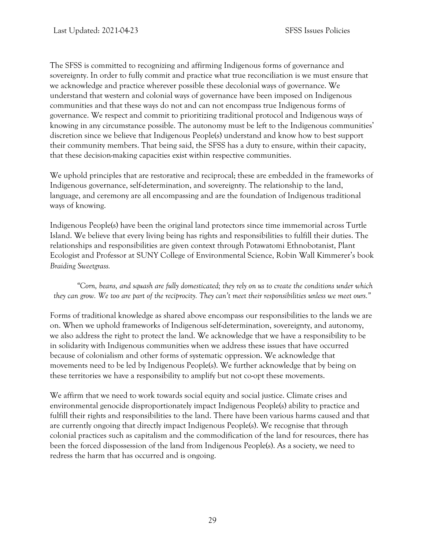The SFSS is committed to recognizing and affirming Indigenous forms of governance and sovereignty. In order to fully commit and practice what true reconciliation is we must ensure that we acknowledge and practice wherever possible these decolonial ways of governance. We understand that western and colonial ways of governance have been imposed on Indigenous communities and that these ways do not and can not encompass true Indigenous forms of governance. We respect and commit to prioritizing traditional protocol and Indigenous ways of knowing in any circumstance possible. The autonomy must be left to the Indigenous communities' discretion since we believe that Indigenous People(s) understand and know how to best support their community members. That being said, the SFSS has a duty to ensure, within their capacity, that these decision-making capacities exist within respective communities.

We uphold principles that are restorative and reciprocal; these are embedded in the frameworks of Indigenous governance, self-determination, and sovereignty. The relationship to the land, language, and ceremony are all encompassing and are the foundation of Indigenous traditional ways of knowing.

Indigenous People(s) have been the original land protectors since time immemorial across Turtle Island. We believe that every living being has rights and responsibilities to fulfill their duties. The relationships and responsibilities are given context through Potawatomi Ethnobotanist, Plant Ecologist and Professor at SUNY College of Environmental Science, Robin Wall Kimmerer's book *Braiding Sweetgrass.*

*"Corn, beans, and squash are fully domesticated; they rely on us to create the conditions under which they can grow. We too are part of the reciprocity. They can't meet their responsibilities unless we meet ours."* 

Forms of traditional knowledge as shared above encompass our responsibilities to the lands we are on. When we uphold frameworks of Indigenous self-determination, sovereignty, and autonomy, we also address the right to protect the land. We acknowledge that we have a responsibility to be in solidarity with Indigenous communities when we address these issues that have occurred because of colonialism and other forms of systematic oppression. We acknowledge that movements need to be led by Indigenous People(s). We further acknowledge that by being on these territories we have a responsibility to amplify but not co-opt these movements.

We affirm that we need to work towards social equity and social justice. Climate crises and environmental genocide disproportionately impact Indigenous People(s) ability to practice and fulfill their rights and responsibilities to the land. There have been various harms caused and that are currently ongoing that directly impact Indigenous People(s). We recognise that through colonial practices such as capitalism and the commodification of the land for resources, there has been the forced dispossession of the land from Indigenous People(s). As a society, we need to redress the harm that has occurred and is ongoing.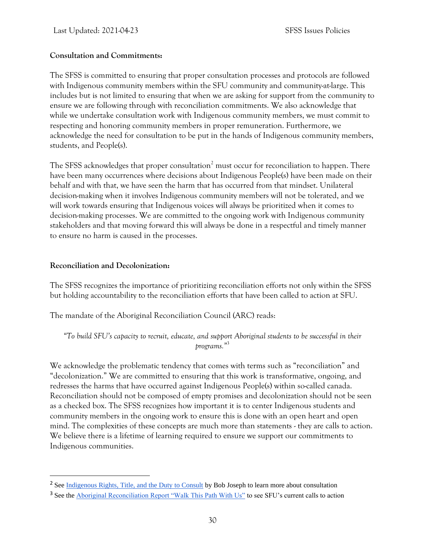#### **Consultation and Commitments:**

The SFSS is committed to ensuring that proper consultation processes and protocols are followed with Indigenous community members within the SFU community and community-at-large. This includes but is not limited to ensuring that when we are asking for support from the community to ensure we are following through with reconciliation commitments. We also acknowledge that while we undertake consultation work with Indigenous community members, we must commit to respecting and honoring community members in proper remuneration. Furthermore, we acknowledge the need for consultation to be put in the hands of Indigenous community members, students, and People(s).

The SFSS acknowledges that proper consultation<sup>2</sup> must occur for reconciliation to happen. There have been many occurrences where decisions about Indigenous People(s) have been made on their behalf and with that, we have seen the harm that has occurred from that mindset. Unilateral decision-making when it involves Indigenous community members will not be tolerated, and we will work towards ensuring that Indigenous voices will always be prioritized when it comes to decision-making processes. We are committed to the ongoing work with Indigenous community stakeholders and that moving forward this will always be done in a respectful and timely manner to ensure no harm is caused in the processes.

#### **Reconciliation and Decolonization:**

The SFSS recognizes the importance of prioritizing reconciliation efforts not only within the SFSS but holding accountability to the reconciliation efforts that have been called to action at SFU.

The mandate of the Aboriginal Reconciliation Council (ARC) reads:

*"To build SFU's capacity to recruit, educate, and support Aboriginal students to be successful in their programs."*<sup>3</sup>

We acknowledge the problematic tendency that comes with terms such as "reconciliation" and "decolonization." We are committed to ensuring that this work is transformative, ongoing, and redresses the harms that have occurred against Indigenous People(s) within so-called canada. Reconciliation should not be composed of empty promises and decolonization should not be seen as a checked box. The SFSS recognizes how important it is to center Indigenous students and community members in the ongoing work to ensure this is done with an open heart and open mind. The complexities of these concepts are much more than statements - they are calls to action. We believe there is a lifetime of learning required to ensure we support our commitments to Indigenous communities.

<sup>&</sup>lt;sup>2</sup> See [Indigenous Rights, Title, and the Duty to Consult](https://www.ictinc.ca/indigenous-rights-title-and-duty-to-consult?hsCtaTracking=7b3c758c-dda3-420b-a02c-be4dc29759f9%7Ce7067d46-4e28-4719-9251-61c3eca07557) by Bob Joseph to learn more about consultation

<sup>&</sup>lt;sup>3</sup> See the [Aboriginal Reconciliation Report "Walk This Path With Us"](https://www.sfu.ca/content/dam/sfu/reconciliation/SFU-ARC%20Walk%20This%20Path%20With%20Us_Full%20Report_Sept5.pdf) to see SFU's current calls to action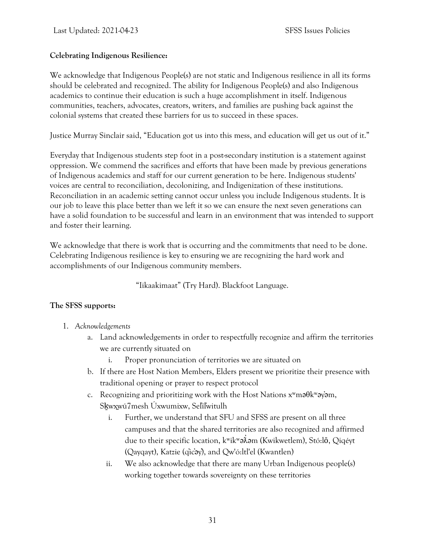#### **Celebrating Indigenous Resilience:**

We acknowledge that Indigenous People(s) are not static and Indigenous resilience in all its forms should be celebrated and recognized. The ability for Indigenous People(s) and also Indigenous academics to continue their education is such a huge accomplishment in itself. Indigenous communities, teachers, advocates, creators, writers, and families are pushing back against the colonial systems that created these barriers for us to succeed in these spaces.

Justice Murray Sinclair said, "Education got us into this mess, and education will get us out of it."

Everyday that Indigenous students step foot in a post-secondary institution is a statement against oppression. We commend the sacrifices and efforts that have been made by previous generations of Indigenous academics and staff for our current generation to be here. Indigenous students' voices are central to reconciliation, decolonizing, and Indigenization of these institutions. Reconciliation in an academic setting cannot occur unless you include Indigenous students. It is our job to leave this place better than we left it so we can ensure the next seven generations can have a solid foundation to be successful and learn in an environment that was intended to support and foster their learning.

We acknowledge that there is work that is occurring and the commitments that need to be done. Celebrating Indigenous resilience is key to ensuring we are recognizing the hard work and accomplishments of our Indigenous community members.

"Iikaakimaat" (Try Hard). Blackfoot Language.

#### **The SFSS supports:**

- 1. *Acknowledgements*
	- a. Land acknowledgements in order to respectfully recognize and affirm the territories we are currently situated on
		- i. Proper pronunciation of territories we are situated on
	- b. If there are Host Nation Members, Elders present we prioritize their presence with traditional opening or prayer to respect protocol
	- c. Recognizing and prioritizing work with the Host Nations  $x^w$ ma $\theta$ k $^w$ ay $\theta$ m, Sḵwx̱wú7mesh Úxwumixw, Sel̓íl̓witulh
		- i. Further, we understand that SFU and SFSS are present on all three campuses and that the shared territories are also recognized and affirmed due to their specific location, kʷikʷə๋⁄kəm (Kwikwetlem), Stó:l**ō**, Qiqéyt (Qayqayt), Katzie (q̓ic̓əy̓), and Qw'ó:ltl'el (Kwantlen)
		- ii. We also acknowledge that there are many Urban Indigenous people(s) working together towards sovereignty on these territories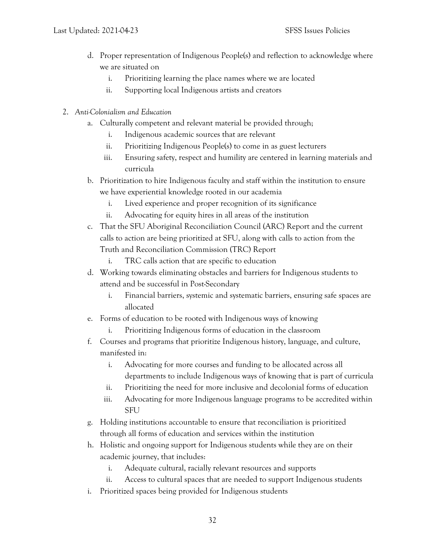- d. Proper representation of Indigenous People(s) and reflection to acknowledge where we are situated on
	- i. Prioritizing learning the place names where we are located
	- ii. Supporting local Indigenous artists and creators
- 2. *Anti-Colonialism and Education*
	- a. Culturally competent and relevant material be provided through;
		- i. Indigenous academic sources that are relevant
		- ii. Prioritizing Indigenous People(s) to come in as guest lecturers
		- iii. Ensuring safety, respect and humility are centered in learning materials and curricula
	- b. Prioritization to hire Indigenous faculty and staff within the institution to ensure we have experiential knowledge rooted in our academia
		- i. Lived experience and proper recognition of its significance
		- ii. Advocating for equity hires in all areas of the institution
	- c. That the SFU Aboriginal Reconciliation Council (ARC) Report and the current calls to action are being prioritized at SFU, along with calls to action from the Truth and Reconciliation Commission (TRC) Report
		- i. TRC calls action that are specific to education
	- d. Working towards eliminating obstacles and barriers for Indigenous students to attend and be successful in Post-Secondary
		- i. Financial barriers, systemic and systematic barriers, ensuring safe spaces are allocated
	- e. Forms of education to be rooted with Indigenous ways of knowing
		- i. Prioritizing Indigenous forms of education in the classroom
	- f. Courses and programs that prioritize Indigenous history, language, and culture, manifested in:
		- i. Advocating for more courses and funding to be allocated across all departments to include Indigenous ways of knowing that is part of curricula
		- ii. Prioritizing the need for more inclusive and decolonial forms of education
		- iii. Advocating for more Indigenous language programs to be accredited within **SFU**
	- g. Holding institutions accountable to ensure that reconciliation is prioritized through all forms of education and services within the institution
	- h. Holistic and ongoing support for Indigenous students while they are on their academic journey, that includes:
		- i. Adequate cultural, racially relevant resources and supports
		- ii. Access to cultural spaces that are needed to support Indigenous students
	- i. Prioritized spaces being provided for Indigenous students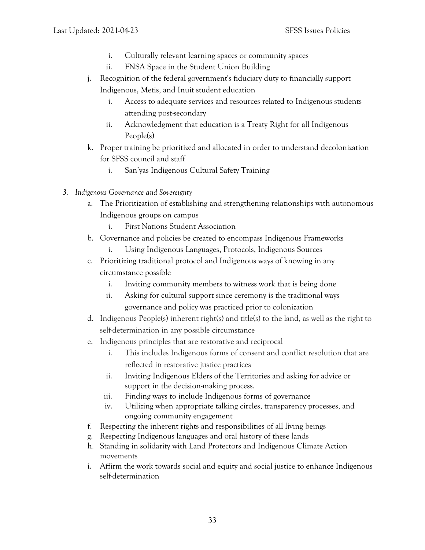- i. Culturally relevant learning spaces or community spaces
- ii. FNSA Space in the Student Union Building
- j. Recognition of the federal government's fiduciary duty to financially support Indigenous, Metis, and Inuit student education
	- i. Access to adequate services and resources related to Indigenous students attending post-secondary
	- ii. Acknowledgment that education is a Treaty Right for all Indigenous People(s)
- k. Proper training be prioritized and allocated in order to understand decolonization for SFSS council and staff
	- i. San'yas Indigenous Cultural Safety Training
- *3. Indigenous Governance and Sovereignty*
	- a. The Prioritization of establishing and strengthening relationships with autonomous Indigenous groups on campus
		- i. First Nations Student Association
	- b. Governance and policies be created to encompass Indigenous Frameworks
		- i. Using Indigenous Languages, Protocols, Indigenous Sources
	- c. Prioritizing traditional protocol and Indigenous ways of knowing in any circumstance possible
		- i. Inviting community members to witness work that is being done
		- ii. Asking for cultural support since ceremony is the traditional ways governance and policy was practiced prior to colonization
	- d. Indigenous People(s) inherent right(s) and title(s) to the land, as well as the right to self-determination in any possible circumstance
	- e. Indigenous principles that are restorative and reciprocal
		- i. This includes Indigenous forms of consent and conflict resolution that are reflected in restorative justice practices
		- ii. Inviting Indigenous Elders of the Territories and asking for advice or support in the decision-making process.
		- iii. Finding ways to include Indigenous forms of governance
		- iv. Utilizing when appropriate talking circles, transparency processes, and ongoing community engagement
	- f. Respecting the inherent rights and responsibilities of all living beings
	- g. Respecting Indigenous languages and oral history of these lands
	- h. Standing in solidarity with Land Protectors and Indigenous Climate Action movements
	- i. Affirm the work towards social and equity and social justice to enhance Indigenous self-determination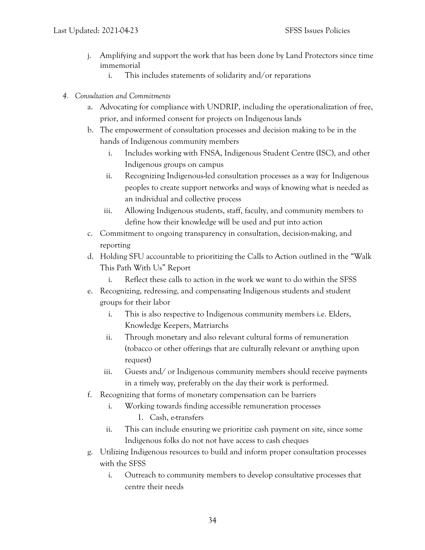- j. Amplifying and support the work that has been done by Land Protectors since time immemorial
	- i. This includes statements of solidarity and/or reparations
- *4. Consultation and Commitments*
	- a. Advocating for compliance with UNDRIP, including the operationalization of free, prior, and informed consent for projects on Indigenous lands
	- b. The empowerment of consultation processes and decision making to be in the hands of Indigenous community members
		- i. Includes working with FNSA, Indigenous Student Centre (ISC), and other Indigenous groups on campus
		- ii. Recognizing Indigenous-led consultation processes as a way for Indigenous peoples to create support networks and ways of knowing what is needed as an individual and collective process
		- iii. Allowing Indigenous students, staff, faculty, and community members to define how their knowledge will be used and put into action
	- c. Commitment to ongoing transparency in consultation, decision-making, and reporting
	- d. Holding SFU accountable to prioritizing the Calls to Action outlined in the "Walk This Path With Us" Report
		- i. Reflect these calls to action in the work we want to do within the SFSS
	- e. Recognizing, redressing, and compensating Indigenous students and student groups for their labor
		- i. This is also respective to Indigenous community members i.e. Elders, Knowledge Keepers, Matriarchs
		- ii. Through monetary and also relevant cultural forms of remuneration (tobacco or other offerings that are culturally relevant or anything upon request)
		- iii. Guests and/ or Indigenous community members should receive payments in a timely way, preferably on the day their work is performed.
	- f. Recognizing that forms of monetary compensation can be barriers
		- i. Working towards finding accessible remuneration processes
			- 1. Cash, e-transfers
		- ii. This can include ensuring we prioritize cash payment on site, since some Indigenous folks do not not have access to cash cheques
	- g. Utilizing Indigenous resources to build and inform proper consultation processes with the SFSS
		- i. Outreach to community members to develop consultative processes that centre their needs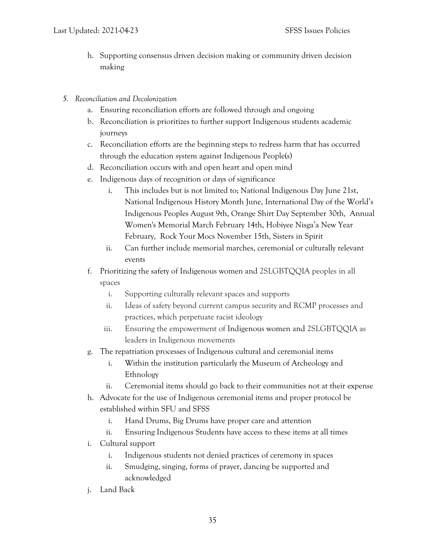- h. Supporting consensus driven decision making or community driven decision making
- *5. Reconciliation and Decolonization*
	- a. Ensuring reconciliation efforts are followed through and ongoing
	- b. Reconciliation is prioritizes to further support Indigenous students academic journeys
	- c. Reconciliation efforts are the beginning steps to redress harm that has occurred through the education system against Indigenous People(s)
	- d. Reconciliation occurs with and open heart and open mind
	- e. Indigenous days of recognition or days of significance
		- i. This includes but is not limited to; National Indigenous Day June 21st, National Indigenous History Month June, International Day of the World's Indigenous Peoples August 9th, Orange Shirt Day September 30th, Annual Women's Memorial March February 14th, Hobiyee Nisga'a New Year February, Rock Your Mocs November 15th, Sisters in Spirit
		- ii. Can further include memorial marches, ceremonial or culturally relevant events
	- f. Prioritizing the safety of Indigenous women and 2SLGBTQQIA peoples in all spaces
		- i. Supporting culturally relevant spaces and supports
		- ii. Ideas of safety beyond current campus security and RCMP processes and practices, which perpetuate racist ideology
		- iii. Ensuring the empowerment of Indigenous women and 2SLGBTQQIA as leaders in Indigenous movements
	- g. The repatriation processes of Indigenous cultural and ceremonial items
		- i. Within the institution particularly the Museum of Archeology and Ethnology
		- ii. Ceremonial items should go back to their communities not at their expense
	- h. Advocate for the use of Indigenous ceremonial items and proper protocol be established within SFU and SFSS
		- i. Hand Drums, Big Drums have proper care and attention
		- ii. Ensuring Indigenous Students have access to these items at all times
	- i. Cultural support
		- i. Indigenous students not denied practices of ceremony in spaces
		- ii. Smudging, singing, forms of prayer, dancing be supported and acknowledged
	- j. Land Back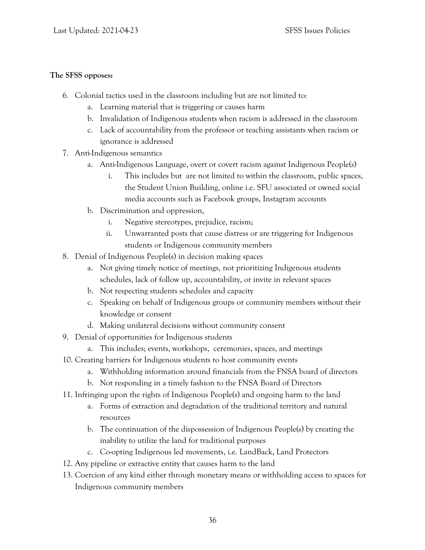#### **The SFSS opposes:**

- 6. Colonial tactics used in the classroom including but are not limited to:
	- a. Learning material that is triggering or causes harm
	- b. Invalidation of Indigenous students when racism is addressed in the classroom
	- c. Lack of accountability from the professor or teaching assistants when racism or ignorance is addressed
- 7. Anti-Indigenous semantics
	- a. Anti-Indigenous Language, overt or covert racism against Indigenous People(s)
		- i. This includes but are not limited to within the classroom, public spaces, the Student Union Building, online i.e. SFU associated or owned social media accounts such as Facebook groups, Instagram accounts
	- b. Discrimination and oppression,
		- i. Negative stereotypes, prejudice, racism;
		- ii. Unwarranted posts that cause distress or are triggering for Indigenous students or Indigenous community members
- 8. Denial of Indigenous People(s) in decision making spaces
	- a. Not giving timely notice of meetings, not prioritizing Indigenous students schedules, lack of follow up, accountability, or invite in relevant spaces
	- b. Not respecting students schedules and capacity
	- c. Speaking on behalf of Indigenous groups or community members without their knowledge or consent
	- d. Making unilateral decisions without community consent
- 9. Denial of opportunities for Indigenous students
	- a. This includes; events, workshops, ceremonies, spaces, and meetings
- 10. Creating barriers for Indigenous students to host community events
	- a. Withholding information around financials from the FNSA board of directors
	- b. Not responding in a timely fashion to the FNSA Board of Directors
- 11. Infringing upon the rights of Indigenous People(s) and ongoing harm to the land
	- a. Forms of extraction and degradation of the traditional territory and natural resources
	- b. The continuation of the dispossession of Indigenous People(s) by creating the inability to utilize the land for traditional purposes
	- c. Co-opting Indigenous led movements, i.e. LandBack, Land Protectors
- 12. Any pipeline or extractive entity that causes harm to the land
- 13. Coercion of any kind either through monetary means or withholding access to spaces for Indigenous community members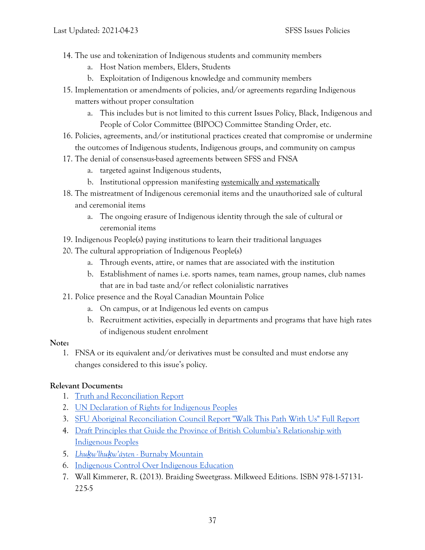- 14. The use and tokenization of Indigenous students and community members
	- a. Host Nation members, Elders, Students
	- b. Exploitation of Indigenous knowledge and community members
- 15. Implementation or amendments of policies, and/or agreements regarding Indigenous matters without proper consultation
	- a. This includes but is not limited to this current Issues Policy, Black, Indigenous and People of Color Committee (BIPOC) Committee Standing Order, etc.
- 16. Policies, agreements, and/or institutional practices created that compromise or undermine the outcomes of Indigenous students, Indigenous groups, and community on campus
- 17. The denial of consensus-based agreements between SFSS and FNSA
	- a. targeted against Indigenous students,
	- b. Institutional oppression manifesting systemically and systematically
- 18. The mistreatment of Indigenous ceremonial items and the unauthorized sale of cultural and ceremonial items
	- a. The ongoing erasure of Indigenous identity through the sale of cultural or ceremonial items
- 19. Indigenous People(s) paying institutions to learn their traditional languages
- 20. The cultural appropriation of Indigenous People(s)
	- a. Through events, attire, or names that are associated with the institution
	- b. Establishment of names i.e. sports names, team names, group names, club names that are in bad taste and/or reflect colonialistic narratives
- 21. Police presence and the Royal Canadian Mountain Police
	- a. On campus, or at Indigenous led events on campus
	- b. Recruitment activities, especially in departments and programs that have high rates of indigenous student enrolment

#### **Note:**

1. FNSA or its equivalent and/or derivatives must be consulted and must endorse any changes considered to this issue's policy.

#### **Relevant Documents:**

- 1. [Truth and Reconciliation Report](http://trc.ca/assets/pdf/Calls_to_Action_English2.pdf)
- 2. [UN Declaration of Rights for Indigenous Peoples](https://www.un.org/development/desa/indigenouspeoples/wp-content/uploads/sites/19/2018/11/UNDRIP_E_web.pdf)
- 3. [SFU Aboriginal Reconciliation Council Report "Walk This Path With Us" Full Report](https://www.sfu.ca/content/dam/sfu/reconciliation/SFU-ARC%20Walk%20This%20Path%20With%20Us_Full%20Report_Sept5.pdf)
- 4. [Draft Principles that Guide the Province of British Columbia's Relationship with](https://www.sfu.ca/content/dam/sfu/reconciliation/SFU-ARC%20Walk%20This%20Path%20With%20Us_Full%20Report_Sept5.pdf)  [Indigenous Peoples](https://www.sfu.ca/content/dam/sfu/reconciliation/SFU-ARC%20Walk%20This%20Path%20With%20Us_Full%20Report_Sept5.pdf)
- 5. *Lhuḵw'lhuḵw'á[yten -](https://www.sfu.ca/brc/imeshMobileApp/place-names/lhukwlhukwayten.html)* [Burnaby Mountain](https://www.sfu.ca/brc/imeshMobileApp/place-names/lhukwlhukwayten.html)
- 6. [Indigenous Control Over Indigenous Education](https://www.afn.ca/uploads/files/education/3._2010_july_afn_first_nations_control_of_first_nations_education_final_eng.pdf)
- 7. Wall Kimmerer, R. (2013). Braiding Sweetgrass. Milkweed Editions. ISBN 978-1-57131- 225-5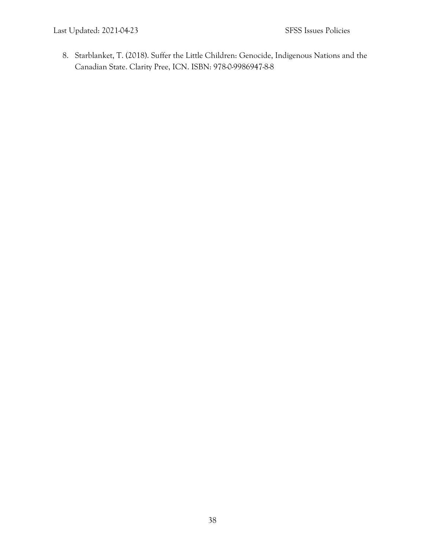8. Starblanket, T. (2018). Suffer the Little Children: Genocide, Indigenous Nations and the Canadian State. Clarity Pree, ICN. ISBN: 978-0-9986947-8-8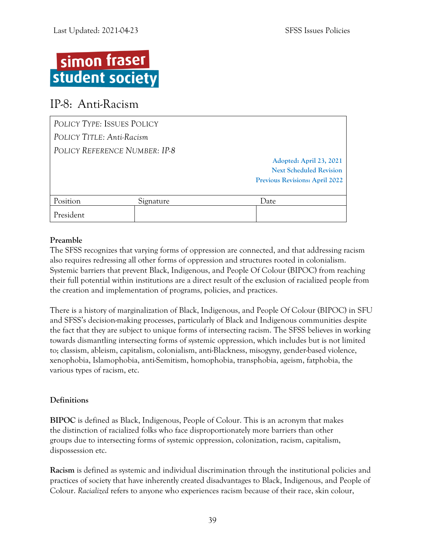

## <span id="page-42-0"></span>IP-8: Anti-Racism

| POLICY TYPE: ISSUES POLICY |                               |                                       |
|----------------------------|-------------------------------|---------------------------------------|
| POLICY TITLE: Anti-Racism  |                               |                                       |
|                            | POLICY REFERENCE NUMBER: IP-8 |                                       |
|                            |                               | Adopted: April 23, 2021               |
|                            |                               | <b>Next Scheduled Revision</b>        |
|                            |                               | <b>Previous Revisions: April 2022</b> |
|                            |                               |                                       |
| Position                   | Signature                     | Date                                  |
| President                  |                               |                                       |

#### **Preamble**

The SFSS recognizes that varying forms of oppression are connected, and that addressing racism also requires redressing all other forms of oppression and structures rooted in colonialism. Systemic barriers that prevent Black, Indigenous, and People Of Colour (BIPOC) from reaching their full potential within institutions are a direct result of the exclusion of racialized people from the creation and implementation of programs, policies, and practices.

There is a history of marginalization of Black, Indigenous, and People Of Colour (BIPOC) in SFU and SFSS's decision-making processes, particularly of Black and Indigenous communities despite the fact that they are subject to unique forms of intersecting racism. The SFSS believes in working towards dismantling intersecting forms of systemic oppression, which includes but is not limited to; classism, ableism, capitalism, colonialism, anti-Blackness, misogyny, gender-based violence, xenophobia, Islamophobia, anti-Semitism, homophobia, transphobia, ageism, fatphobia, the various types of racism, etc.

#### **Definitions**

**BIPOC** is defined as Black, Indigenous, People of Colour. This is an acronym that makes the distinction of racialized folks who face disproportionately more barriers than other groups due to intersecting forms of systemic oppression, colonization, racism, capitalism, dispossession etc.

**Racism** is defined as systemic and individual discrimination through the institutional policies and practices of society that have inherently created disadvantages to Black, Indigenous, and People of Colour. *Racialized* refers to anyone who experiences racism because of their race, skin colour,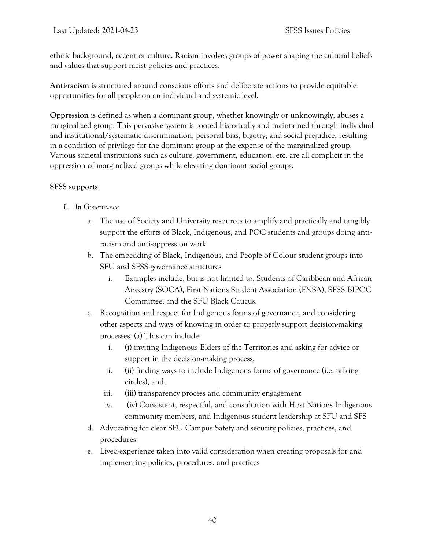ethnic background, accent or culture. Racism involves groups of power shaping the cultural beliefs and values that support racist policies and practices.

**Anti-racism** is structured around conscious efforts and deliberate actions to provide equitable opportunities for all people on an individual and systemic level.

**Oppression** is defined as when a dominant group, whether knowingly or unknowingly, abuses a marginalized group. This pervasive system is rooted historically and maintained through individual and institutional/systematic discrimination, personal bias, bigotry, and social prejudice, resulting in a condition of privilege for the dominant group at the expense of the marginalized group. Various societal institutions such as culture, government, education, etc. are all complicit in the oppression of marginalized groups while elevating dominant social groups.

#### **SFSS supports**

- *1. In Governance*
	- a. The use of Society and University resources to amplify and practically and tangibly support the efforts of Black, Indigenous, and POC students and groups doing antiracism and anti-oppression work
	- b. The embedding of Black, Indigenous, and People of Colour student groups into SFU and SFSS governance structures
		- i. Examples include, but is not limited to, Students of Caribbean and African Ancestry (SOCA), First Nations Student Association (FNSA), SFSS BIPOC Committee, and the SFU Black Caucus.
	- c. Recognition and respect for Indigenous forms of governance, and considering other aspects and ways of knowing in order to properly support decision-making processes. (a) This can include:
		- i. (i) inviting Indigenous Elders of the Territories and asking for advice or support in the decision-making process,
		- ii. (ii) finding ways to include Indigenous forms of governance (i.e. talking circles), and,
		- iii. (iii) transparency process and community engagement
		- iv. (iv) Consistent, respectful, and consultation with Host Nations Indigenous community members, and Indigenous student leadership at SFU and SFS
	- d. Advocating for clear SFU Campus Safety and security policies, practices, and procedures
	- e. Lived-experience taken into valid consideration when creating proposals for and implementing policies, procedures, and practices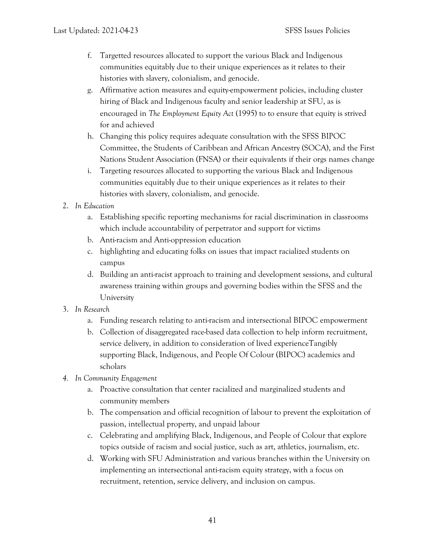- f. Targetted resources allocated to support the various Black and Indigenous communities equitably due to their unique experiences as it relates to their histories with slavery, colonialism, and genocide.
- g. Affirmative action measures and equity-empowerment policies, including cluster hiring of Black and Indigenous faculty and senior leadership at SFU, as is encouraged in *The Employment Equity Act* (1995) to to ensure that equity is strived for and achieved
- h. Changing this policy requires adequate consultation with the SFSS BIPOC Committee, the Students of Caribbean and African Ancestry (SOCA), and the First Nations Student Association (FNSA) or their equivalents if their orgs names change
- i. Targeting resources allocated to supporting the various Black and Indigenous communities equitably due to their unique experiences as it relates to their histories with slavery, colonialism, and genocide.
- 2. *In Education* 
	- a. Establishing specific reporting mechanisms for racial discrimination in classrooms which include accountability of perpetrator and support for victims
	- b. Anti-racism and Anti-oppression education
	- c. highlighting and educating folks on issues that impact racialized students on campus
	- d. Building an anti-racist approach to training and development sessions, and cultural awareness training within groups and governing bodies within the SFSS and the University
- 3. *In Research* 
	- a. Funding research relating to anti-racism and intersectional BIPOC empowerment
	- b. Collection of disaggregated race-based data collection to help inform recruitment, service delivery, in addition to consideration of lived experienceTangibly supporting Black, Indigenous, and People Of Colour (BIPOC) academics and scholars
- *4. In Community Engagement*
	- a. Proactive consultation that center racialized and marginalized students and community members
	- b. The compensation and official recognition of labour to prevent the exploitation of passion, intellectual property, and unpaid labour
	- c. Celebrating and amplifying Black, Indigenous, and People of Colour that explore topics outside of racism and social justice, such as art, athletics, journalism, etc.
	- d. Working with SFU Administration and various branches within the University on implementing an intersectional anti-racism equity strategy, with a focus on recruitment, retention, service delivery, and inclusion on campus.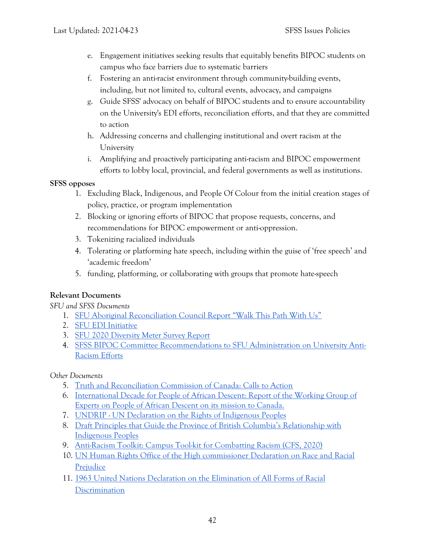- e. Engagement initiatives seeking results that equitably benefits BIPOC students on campus who face barriers due to systematic barriers
- f. Fostering an anti-racist environment through community-building events, including, but not limited to, cultural events, advocacy, and campaigns
- g. Guide SFSS' advocacy on behalf of BIPOC students and to ensure accountability on the University's EDI efforts, reconciliation efforts, and that they are committed to action
- h. Addressing concerns and challenging institutional and overt racism at the University
- i. Amplifying and proactively participating anti-racism and BIPOC empowerment efforts to lobby local, provincial, and federal governments as well as institutions.

#### **SFSS opposes**

- 1. Excluding Black, Indigenous, and People Of Colour from the initial creation stages of policy, practice, or program implementation
- 2. Blocking or ignoring efforts of BIPOC that propose requests, concerns, and recommendations for BIPOC empowerment or anti-oppression.
- 3. Tokenizing racialized individuals
- 4. Tolerating or platforming hate speech, including within the guise of 'free speech' and 'academic freedom'
- 5. funding, platforming, or collaborating with groups that promote hate-speech

#### **Relevant Documents**

*SFU and SFSS Documents* 

- 1. [SFU Aboriginal Reconciliation Council Report "Walk This Path With Us"](https://www.sfu.ca/content/dam/sfu/reconciliation/SFU-ARC%20Walk%20This%20Path%20With%20Us_Full%20Report_Sept5.pdf)
- 2. [SFU EDI Initiative](https://www.sfu.ca/edi/about.html)
- 3. [SFU 2020 Diversity Meter Survey Report](https://www.sfu.ca/content/dam/sfu/edi/reports/Diversity%20Meter%20-%20Final%20Report.pdf?fbclid=IwAR3qitzoejvzNn0PH7V8yjE871Q9EW6wPyY3dpB7D4KOGWgF0Cr1U3r18dg)
- 4. [SFSS BIPOC Committee Recommendations to SFU Administration on University Anti-](https://sfss.ca/wp-content/uploads/2020/11/Briefing-Note_-SFSS-BIPOC-Committee-on-SFU-Anti-Racism-Efforts-1.pdf)[Racism Efforts](https://sfss.ca/wp-content/uploads/2020/11/Briefing-Note_-SFSS-BIPOC-Committee-on-SFU-Anti-Racism-Efforts-1.pdf)

#### *Other Documents*

- 5. [Truth and Reconciliation Commission of Canada: Calls to Action](http://trc.ca/assets/pdf/Calls_to_Action_English2.pdf)
- 6. [International Decade for People of African Descent: Report of the Working Group of](https://documents-dds-ny.un.org/doc/UNDOC/GEN/G17/239/60/PDF/G1723960.pdf?OpenElement)  [Experts on People of African Descent on its mission to Canada.](https://documents-dds-ny.un.org/doc/UNDOC/GEN/G17/239/60/PDF/G1723960.pdf?OpenElement)
- 7. UNDRIP [UN Declaration on the Rights of Indigenous Peoples](https://www.un.org/development/desa/indigenouspeoples/wp-content/uploads/sites/19/2018/11/UNDRIP_E_web.pdf)
- 8. Draft Principles that Guide the Province of British Columbia's Relationship with [Indigenous Peoples](https://www2.gov.bc.ca/gov/content/governments/indigenous-people/new-relationship/about-the-ten-principles)
- 9. [Anti-Racism Toolkit: Campus Tool-kit for Combatting Racism \(CFS, 2020\)](https://cfs-fcee.ca/wp-content/uploads/2019/07/Anti-Racism-Toolkit-Final-1.pdf)
- 10. [UN Human Rights Office of the High commissioner Declaration on Race and Racial](https://www.ohchr.org/EN/ProfessionalInterest/Pages/RaceAndRacialPrejudice.aspx)  **[Prejudice](https://www.ohchr.org/EN/ProfessionalInterest/Pages/RaceAndRacialPrejudice.aspx)**
- 11. [1963 United Nations Declaration on the Elimination of All Forms of Racial](https://documentcloud.adobe.com/link/review?uri=urn%3Aaaid%3Ascds%3AUS%3Ac38ce09c-8078-4084-8e3f-84b415173d67#pageNum=1)  **Discrimination**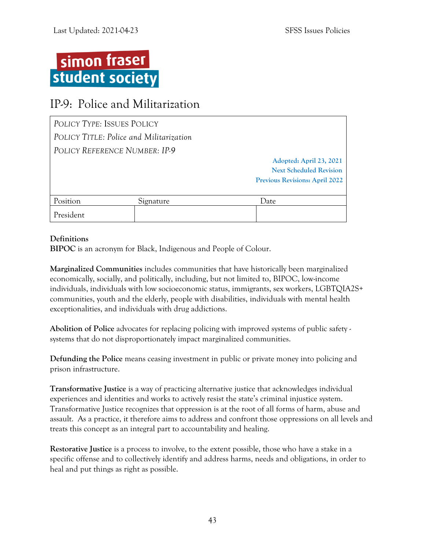

## <span id="page-46-0"></span>IP-9: Police and Militarization

| POLICY TYPE: ISSUES POLICY              |           |                                       |
|-----------------------------------------|-----------|---------------------------------------|
| POLICY TITLE: Police and Militarization |           |                                       |
| POLICY REFERENCE NUMBER: IP-9           |           |                                       |
|                                         |           | Adopted: April 23, 2021               |
|                                         |           | <b>Next Scheduled Revision</b>        |
|                                         |           | <b>Previous Revisions: April 2022</b> |
|                                         |           |                                       |
| Position                                | Signature | Date                                  |
| President                               |           |                                       |

#### **Definitions**

**BIPOC** is an acronym for Black, Indigenous and People of Colour.

**Marginalized Communities** includes communities that have historically been marginalized economically, socially, and politically, including, but not limited to, BIPOC, low-income individuals, individuals with low socioeconomic status, immigrants, sex workers, LGBTQIA2S+ communities, youth and the elderly, people with disabilities, individuals with mental health exceptionalities, and individuals with drug addictions.

**Abolition of Police** advocates for replacing policing with improved systems of public safety systems that do not disproportionately impact marginalized communities.

**Defunding the Police** means ceasing investment in public or private money into policing and prison infrastructure.

**Transformative Justice** is a way of practicing alternative justice that acknowledges individual experiences and identities and works to actively resist the state's criminal injustice system. Transformative Justice recognizes that oppression is at the root of all forms of harm, abuse and assault. As a practice, it therefore aims to address and confront those oppressions on all levels and treats this concept as an integral part to accountability and healing.

**Restorative Justice** is a process to involve, to the extent possible, those who have a stake in a specific offense and to collectively identify and address harms, needs and obligations, in order to heal and put things as right as possible.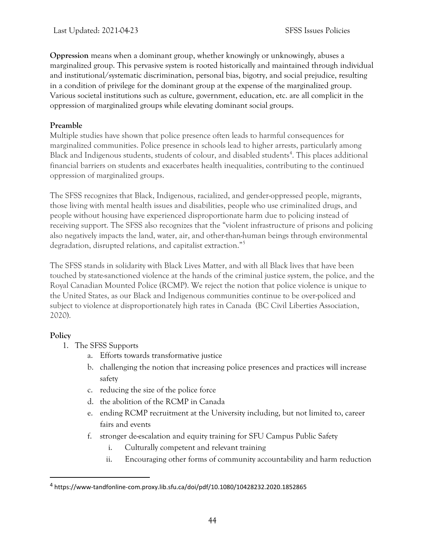**Oppression** means when a dominant group, whether knowingly or unknowingly, abuses a marginalized group. This pervasive system is rooted historically and maintained through individual and institutional/systematic discrimination, personal bias, bigotry, and social prejudice, resulting in a condition of privilege for the dominant group at the expense of the marginalized group. Various societal institutions such as culture, government, education, etc. are all complicit in the oppression of marginalized groups while elevating dominant social groups.

#### **Preamble**

Multiple studies have shown that police presence often leads to harmful consequences for marginalized communities. Police presence in schools lead to higher arrests, particularly among Black and Indigenous students, students of colour, and disabled students<sup>4</sup>. This places additional financial barriers on students and exacerbates health inequalities, contributing to the continued oppression of marginalized groups.

The SFSS recognizes that Black, Indigenous, racialized, and gender-oppressed people, migrants, those living with mental health issues and disabilities, people who use criminalized drugs, and people without housing have experienced disproportionate harm due to policing instead of receiving support. The SFSS also recognizes that the "violent infrastructure of prisons and policing also negatively impacts the land, water, air, and other-than-human beings through environmental degradation, disrupted relations, and capitalist extraction."<sup>5</sup>

The SFSS stands in solidarity with Black Lives Matter, and with all Black lives that have been touched by state-sanctioned violence at the hands of the criminal justice system, the police, and the Royal Canadian Mounted Police (RCMP). We reject the notion that police violence is unique to the United States, as our Black and Indigenous communities continue to be over-policed and subject to violence at disproportionately high rates in Canada (BC Civil Liberties Association, 2020).

#### **Policy**

- 1. The SFSS Supports
	- a. Efforts towards transformative justice
	- b. challenging the notion that increasing police presences and practices will increase safety
	- c. reducing the size of the police force
	- d. the abolition of the RCMP in Canada
	- e. ending RCMP recruitment at the University including, but not limited to, career fairs and events
	- f. stronger de-escalation and equity training for SFU Campus Public Safety
		- i. Culturally competent and relevant training
		- ii. Encouraging other forms of community accountability and harm reduction

<sup>4</sup> https://www-tandfonline-com.proxy.lib.sfu.ca/doi/pdf/10.1080/10428232.2020.1852865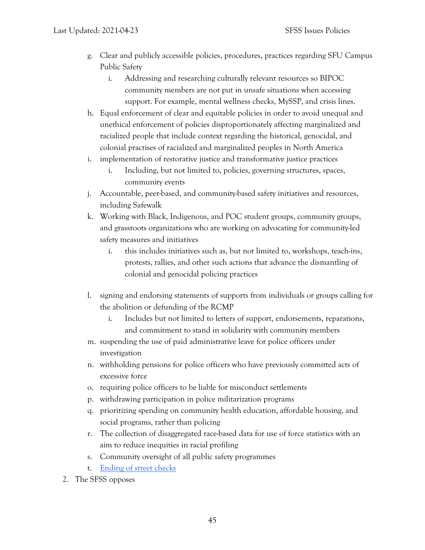- g. Clear and publicly accessible policies, procedures, practices regarding SFU Campus Public Safety
	- i. Addressing and researching culturally relevant resources so BIPOC community members are not put in unsafe situations when accessing support. For example, mental wellness checks, MySSP, and crisis lines.
- h. Equal enforcement of clear and equitable policies in order to avoid unequal and unethical enforcement of policies disproportionately affecting marginalized and racialized people that include context regarding the historical, genocidal, and colonial practises of racialized and marginalized peoples in North America
- i. implementation of restorative justice and transformative justice practices
	- i. Including, but not limited to, policies, governing structures, spaces, community events
- j. Accountable, peer-based, and community-based safety initiatives and resources, including Safewalk
- k. Working with Black, Indigenous, and POC student groups, community groups, and grassroots organizations who are working on advocating for community-led safety measures and initiatives
	- i. this includes initiatives such as, but not limited to, workshops, teach-ins, protests, rallies, and other such actions that advance the dismantling of colonial and genocidal policing practices
- l. signing and endorsing statements of supports from individuals or groups calling for the abolition or defunding of the RCMP
	- i. Includes but not limited to letters of support, endorsements, reparations, and commitment to stand in solidarity with community members
- m. suspending the use of paid administrative leave for police officers under investigation
- n. withholding pensions for police officers who have previously committed acts of excessive force
- o. requiring police officers to be liable for misconduct settlements
- p. withdrawing participation in police militarization programs
- q. prioritizing spending on community health education, affordable housing, and social programs, rather than policing
- r. The collection of disaggregated race-based data for use of force statistics with an aim to reduce inequities in racial profiling
- s. Community oversight of all public safety programmes
- t. [Ending of street checks](https://act.bccla.org/banstreetchecks)
- 2. The SFSS opposes